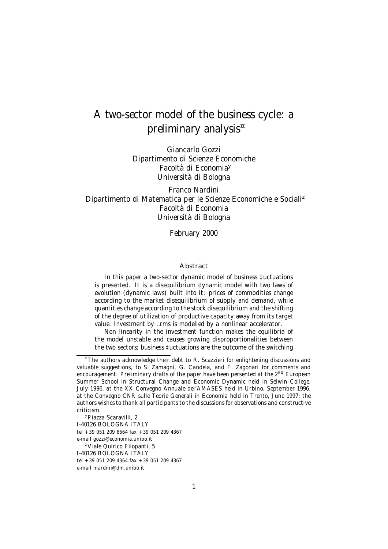# A two-sector model of the business cycle: a preliminary analysis ¤

Giancarlo Gozzi Dipartimento di Scienze Economiche Facoltà di Economia<sup>y</sup> Università di Bologna

Franco Nardini Dipartimento di Matematica per le Scienze Economiche e Sociali<sup>z</sup> Facoltà di Economia Università di Bologna

February 2000

#### Abstract

In this paper a two-sector dynamic model of business ‡uctuations is presented. It is a disequilibrium dynamic model with two laws of evolution (dynamic laws) built into it: prices of commodities change according to the market disequilibrium of supply and demand, while quantities change according to the stock disequilibrium and the shifting of the degree of utilization of productive capacity away from its target value. Investment by …rms is modelled by a nonlinear accelerator.

Non linearity in the investment function makes the equilibria of the model unstable and causes growing disproportionalities between the two sectors; business ‡uctuations are the outcome of the switching

<sup>y</sup>Piazza Scaravilli, 2 I-40126 BOLOGNA ITALY tel +39 051 209 8664 fax +39 051 209 4367 e-mail gozzi@economia.unibo.it <sup>z</sup>Viale Quirico Filopanti, 5 I-40126 BOLOGNA ITALY tel +39 051 209 4364 fax +39 051 209 4367 e-mail mardini@dm.unibo.it

<sup>&</sup>lt;sup>¤</sup>The authors acknowledge their debt to R. Scazzieri for enlightening discussions and valuable suggestions, to S. Zamagni, G. Candela, and F. Zagonari for comments and encouragement. Preliminary drafts of the paper have been persented at the 2<sup>nd</sup> European Summer School in Structural Change and Economic Dynamic held in Selwin College, July 1996, at the XX Convegno Annuale del'AMASES held in Urbino, September 1996, at the Convegno CNR sulle Teorie Generali in Economia held in Trento, June 1997; the authors wishes to thank all participants to the discussions for observations and constructive criticism.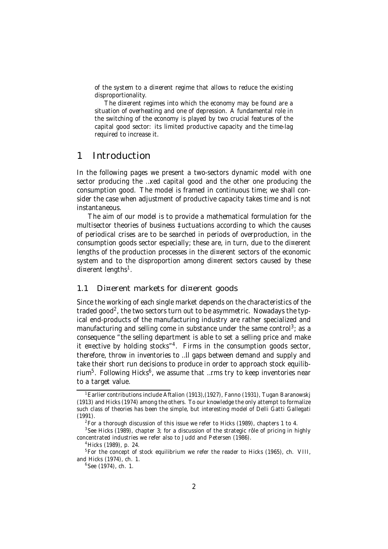of the system to a di¤erent regime that allows to reduce the existing disproportionality.

The di¤erent regimes into which the economy may be found are a situation of overheating and one of depression. A fundamental role in the switching of the economy is played by two crucial features of the capital good sector: its limited productive capacity and the time-lag required to increase it.

# 1 Introduction

In the following pages we present a two-sectors dynamic model with one sector producing the …xed capital good and the other one producing the consumption good. The model is framed in continuous time; we shall consider the case when adjustment of productive capacity takes time and is not instantaneous.

The aim of our model is to provide a mathematical formulation for the multisector theories of business ‡uctuations according to which the causes of periodical crises are to be searched in periods of overproduction, in the consumption goods sector especially; these are, in turn, due to the di¤erent lengths of the production processes in the di¤erent sectors of the economic system and to the disproportion among di¤erent sectors caused by these di¤erent lengths<sup>1</sup>.

### 1.1 Di¤erent markets for di¤erent goods

Since the working of each single market depends on the characteristics of the traded good<sup>2</sup>, the two sectors turn out to be asymmetric. Nowadays the typical end-products of the manufacturing industry are rather specialized and manufacturing and selling come in substance under the same control<sup>3</sup>; as a consequence "the selling department is able to set a selling price and make it e¤ective by holding stocks"<sup>4</sup>. Firms in the consumption goods sector, therefore, throw in inventories to …ll gaps between demand and supply and take their short run decisions to produce in order to approach stock equilibrium<sup>5</sup>. Following Hicks<sup>6</sup>, we assume that ...rms try to keep inventories near to a target value.

<sup>&</sup>lt;sup>1</sup> Earlier contributions include Aftalion (1913), (1927), Fanno (1931), Tugan Baranowskj (1913) and Hicks (1974) among the others. To our knowledge the only attempt to formalize such class of theories has been the simple, but interesting model of Delli Gatti Gallegati (1991).

 $2$  For a thorough discussion of this issue we refer to Hicks (1989), chapters 1 to 4.

 $3$ See Hicks (1989), chapter 3; for a discussion of the strategic rôle of pricing in highly concentrated industries we refer also to Judd and Petersen (1986).

<sup>4</sup>Hicks (1989), p. 24.

<sup>&</sup>lt;sup>5</sup>For the concept of stock equilibrium we refer the reader to Hicks (1965), ch. VIII, and Hicks (1974), ch. 1.

<sup>6</sup> See (1974), ch. 1.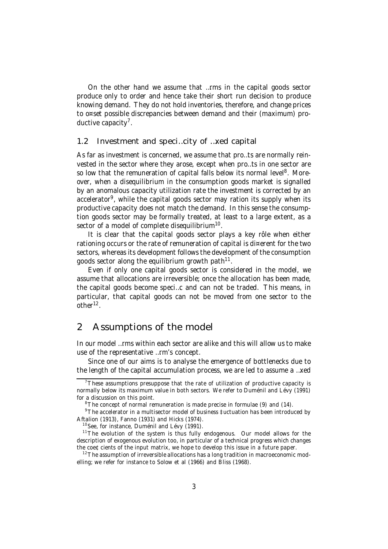On the other hand we assume that …rms in the capital goods sector produce only to order and hence take their short run decision to produce knowing demand. They do not hold inventories, therefore, and change prices to o¤set possible discrepancies between demand and their (maximum) productive capacity<sup>7</sup>.

### 1.2 Investment and speci…city of …xed capital

As far as investment is concerned, we assume that pro…ts are normally reinvested in the sector where they arose, except when pro…ts in one sector are so low that the remuneration of capital falls below its normal level<sup>8</sup>. Moreover, when a disequilibrium in the consumption goods market is signalled by an anomalous capacity utilization rate the investment is corrected by an accelerator<sup>9</sup>, while the capital goods sector may ration its supply when its productive capacity does not match the demand. In this sense the consumption goods sector may be formally treated, at least to a large extent, as a sector of a model of complete disequilibrium $^{10}$ .

It is clear that the capital goods sector plays a key rôle when either rationing occurs or the rate of remuneration of capital is di¤erent for the two sectors, whereas its development follows the development of the consumption goods sector along the equilibrium growth path $^{11}$ .

Even if only one capital goods sector is considered in the model, we assume that allocations are irreversible; once the allocation has been made, the capital goods become speci…c and can not be traded. This means, in particular, that capital goods can not be moved from one sector to the other<sup>12</sup>.

# 2 Assumptions of the model

In our model …rms within each sector are alike and this will allow us to make use of the representative …rm's concept.

Since one of our aims is to analyse the emergence of bottlenecks due to the length of the capital accumulation process, we are led to assume a …xed

 $7$ These assumptions presuppose that the rate of utilization of productive capacity is normally below its maximum value in both sectors. We refer to Duménil and Lévy (1991) for a discussion on this point.

 $8$ The concept of normal remuneration is made precise in formulae (9) and (14).

<sup>9</sup>The accelerator in a multisector model of business ‡uctuation has been introduced by Aftalion (1913), Fanno (1931) and Hicks (1974).

<sup>&</sup>lt;sup>10</sup> See, for instance, Duménil and Lévy (1991).

 $11$ The evolution of the system is thus fully endogenous. Our model allows for the description of exogenous evolution too, in particular of a technical progress which changes the coe¢cients of the input matrix, we hope to develop this issue in a future paper.

 $12$  The assumption of irreversible allocations has a long tradition in macroeconomic modelling; we refer for instance to Solow et al (1966) and Bliss (1968).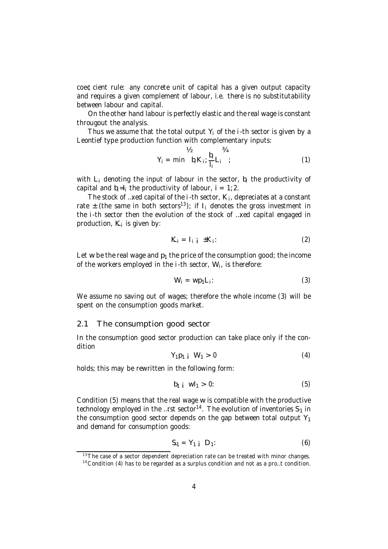coe¢cient rule: any concrete unit of capital has a given output capacity and requires a given complement of labour, i.e. there is no substitutability between labour and capital.

On the other hand labour is perfectly elastic and the real wage is constant througout the analysis.

Thus we assume that the total output  $Y_i$  of the *i*-th sector is given by a Leontief type production function with complementary inputs:

$$
Y_{i} = \min \frac{V_{2}}{b_{i} K_{i}}; \frac{b_{i}}{l_{i}} L_{i};
$$
 (1)

with  $L_i$  denoting the input of labour in the sector,  $b_i$  the productivity of capital and  $b_i = l_i$  the productivity of labour,  $i = 1, 2$ .

The stock of …xed capital of the  $i$ -th sector,  $K_i$ , depreciates at a constant rate  $\pm$  (the same in both sectors<sup>13</sup>); if I<sub>i</sub> denotes the gross investment in the i-th sector then the evolution of the stock of …xed capital engaged in production,  $K_i$  is given by:

$$
K_i = I_{i|i} \pm K_i:
$$
 (2)

Let w be the real wage and  $p_1$  the price of the consumption good; the income of the workers employed in the  $i$ -th sector,  $W_i$ , is therefore:

$$
W_i = wp_1L_i:
$$
 (3)

We assume no saving out of wages; therefore the whole income (3) will be spent on the consumption goods market.

#### 2.1 The consumption good sector

In the consumption good sector production can take place only if the condition

$$
Y_1p_1 \t W_1 > 0 \t\t (4)
$$

holds; this may be rewritten in the following form:

$$
b_{1 i} \t Wl_{1} > 0: \t\t (5)
$$

Condition (5) means that the real wage w is compatible with the productive technology employed in the …rst sector $^{14}$ . The evolution of inventories  $\mathsf{S}_1$  in the consumption good sector depends on the gap between total output  $Y_1$ and demand for consumption goods:

$$
S_1 = Y_1 \quad D_1: \tag{6}
$$

 $13$ The case of a sector dependent depreciation rate can be treated with minor changes.

 $14$  Condition (4) has to be regarded as a surplus condition and not as a pro...t condition.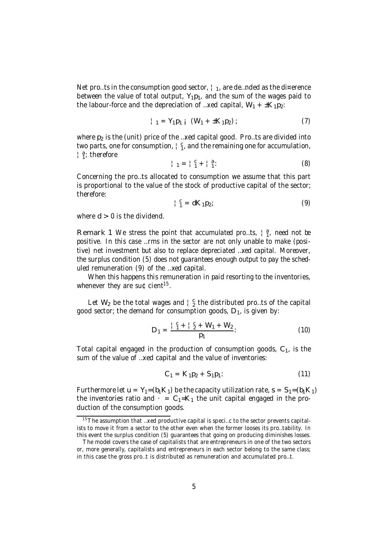Net pro…ts in the consumption good sector,  $\frac{1}{1}$ , are de…nded as the di¤erence between the value of total output,  $Y_1p_1$ , and the sum of the wages paid to the labour-force and the depreciation of ... xed capital,  $W_1 + \pm K_1 p_2$ :

$$
{}_{11}^{1} = Y_{1}p_{1} \quad (W_{1} + \pm K_{1}p_{2}) ; \tag{7}
$$

where  $p_2$  is the (unit) price of the ... xed capital good. Pro... ts are divided into two parts, one for consumption,  $\frac{1}{1}$   $\frac{c}{1}$ , and the remaining one for accumulation, |a; therefore

$$
|1| = |1| + |1|
$$
 (8)

Concerning the pro…ts allocated to consumption we assume that this part is proportional to the value of the stock of productive capital of the sector; therefore:

$$
\begin{array}{c}\n1 \ \, 0 \\
1 \ \, 1\n\end{array} = dK_1 p_2;\n\tag{9}
$$

where  $d > 0$  is the dividend.

Remark 1 We stress the point that accumulated pro...ts,  $\begin{bmatrix} a \\ 1 \end{bmatrix}$ , need not be positive. In this case …rms in the sector are not only unable to make (positive) net investment but also to replace depreciated …xed capital. Moreover, the surplus condition (5) does not guarantees enough output to pay the scheduled remuneration (9) of the …xed capital.

When this happens this remuneration in paid resorting to the inventories, whenever they are su¢cient<sup>15</sup>.

Let  $W_2$  be the total wages and  $\frac{1}{2}$  the distributed pro...ts of the capital good sector; the demand for consumption goods,  $D_1$ , is given by:

$$
D_1 = \frac{\frac{1}{1} \frac{c_1}{1} + \frac{1}{2} + W_1 + W_2}{p_1}
$$
 (10)

Total capital engaged in the production of consumption goods,  $C_1$ , is the sum of the value of …xed capital and the value of inventories:

$$
C_1 = K_1 p_2 + S_1 p_1: \t\t(11)
$$

Furthermore let  $u = Y_1 = (b_1 K_1)$  be the capacity utilization rate,  $s = S_1 = (b_1 K_1)$ the inventories ratio and  $\cdot = C_1 = K_1$  the unit capital engaged in the production of the consumption goods.

 $15$ The assumption that …xed productive capital is speci…c to the sector prevents capitalists to move it from a sector to the other even when the former looses its pro…tability. In this event the surplus condition (5) guarantees that going on producing diminishes losses.

The model covers the case of capitalists that are entrepreneurs in one of the two sectors or, more generally, capitalists and entrepreneurs in each sector belong to the same class; in this case the gross pro…t is distributed as remuneration and accumulated pro…t.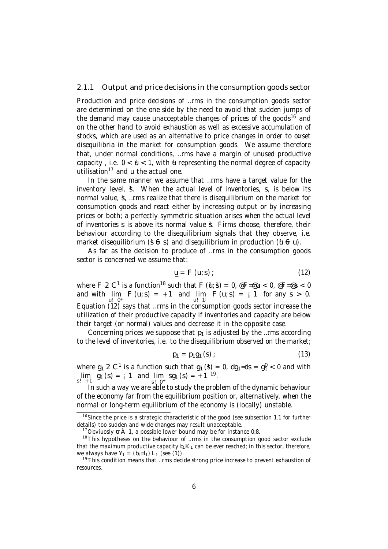#### 2.1.1 Output and price decisions in the consumption goods sector

Production and price decisions of …rms in the consumption goods sector are determined on the one side by the need to avoid that sudden jumps of the demand may cause unacceptable changes of prices of the goods<sup>16</sup> and on the other hand to avoid exhaustion as well as excessive accumulation of stocks, which are used as an alternative to price changes in order to o¤set disequilibria in the market for consumption goods. We assume therefore that, under normal conditions, …rms have a margin of unused productive capacity, i.e.  $0 < \mathbf{u} < 1$ , with  $\mathbf{u}$  representing the normal degree of capacity utilisation <sup>17</sup> and u the actual one.

In the same manner we assume that …rms have a target value for the inventory level, §. When the actual level of inventories, s, is below its normal value, §, ... rms realize that there is disequilibrium on the market for consumption goods and react either by increasing output or by increasing prices or both; a perfectly symmetric situation arises when the actual level of inventories s is above its normal value s. Firms choose, therefore, their behaviour according to the disequilibrium signals that they observe, i.e. market disequilibrium ( $\frac{4}{5}$  6 s) and disequilibrium in production ( $\frac{4}{5}$  e u).

As far as the decision to produce of …rms in the consumption goods sector is concerned we assume that:

$$
\underline{\mathsf{u}} = \mathsf{F} \left( \mathsf{u}; \mathsf{s} \right); \tag{12}
$$

where F 2 C<sup>1</sup> is a function<sup>18</sup> such that F (u, s) = 0,  $\mathscr{E}F = \mathscr{E}u < 0$ ,  $\mathscr{E}F = \mathscr{E}s < 0$ and with  $\lim_{u \to 0^+} F(u; s) = +1$  and  $\lim_{u \to 1^+} F(u; s) = +1$  for any  $s > 0$ . u! 0+<br>Equation (12) says that …rms in the consumption goods sector increase the utilization of their productive capacity if inventories and capacity are below their target (or normal) values and decrease it in the opposite case.

Concerning prices we suppose that  $p_1$  is adjusted by the …rms according to the level of inventories, i.e. to the disequilibrium observed on the market;

$$
\mathbf{p}_1 = \mathbf{p}_1 \mathbf{g}_1 \, (\mathbf{s}) \, ; \tag{13}
$$

where  $g_1 \nvert 2 \nvert C^1$  is a function such that  $g_1(\textbf{3}) = 0$ ,  $\text{dg}_1 = \text{ds} = g_1^0 < 0$  and with  $\lim_{s_1 \to 1} g_1(s) = i 1$  and  $\lim_{s_1 \to 1} sg_1(s) = +1^{19}$ .

<sup>s</sup>!0<sup>+</sup> In such a way we are able to study the problem of the dynamic behaviour of the economy far from the equilibrium position or, alternatively, when the normal or long-term equilibrium of the economy is (locally) unstable.

<sup>&</sup>lt;sup>16</sup> Since the price is a strategic characteristic of the good (see subsection 1.1 for further details) too sudden and wide changes may result unacceptable.

<sup>&</sup>lt;sup>17</sup> Obviuosly  $\overline{u}$   $\overline{A}$  1, a possible lower bound may be for instance 0:8.

<sup>&</sup>lt;sup>18</sup>This hypotheses on the behaviour of ...rms in the consumption good sector exclude that the maximum productive capacity  $b_1K_1$  can be ever reached; in this sector, therefore, we always have  $Y_1 = (b_1 = l_1) L_1$  (see (1)).

 $19$ This condition means that …rms decide strong price increase to prevent exhaustion of resources.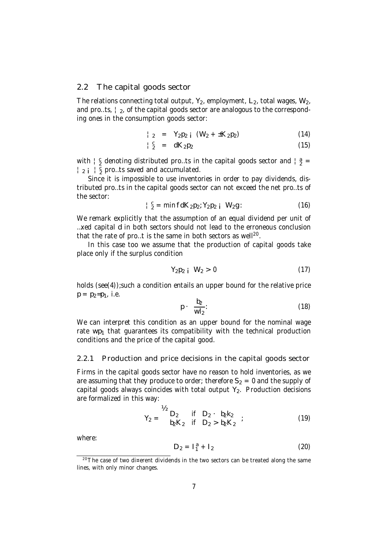### 2.2 The capital goods sector

The relations connecting total output,  $Y_2$ , employment,  $L_2$ , total wages,  $W_2$ , and pro...ts,  $\frac{1}{2}$ , of the capital goods sector are analogous to the corresponding ones in the consumption goods sector:

$$
\begin{array}{rcl}\n|_{2} & = & Y_{2}p_{2} \quad (W_{2} + \pm K_{2}p_{2})\n\end{array} \tag{14}
$$

$$
\begin{array}{cccc} |^{c} & = & dK_{2}p_{2} & (15) \end{array}
$$

with  $\frac{1}{2}$  denoting distributed pro...ts in the capital goods sector and  $\frac{1}{2}$  =  $\frac{1}{2}$  i  $\frac{1}{2}$  pro…ts saved and accumulated.

Since it is impossible to use inventories in order to pay dividends, distributed pro…ts in the capital goods sector can not exceed the net pro…ts of the sector:

$$
\frac{c}{2} = \min f dK_2 p_2; Y_2 p_2 \quad \text{(16)}
$$

We remark explicitly that the assumption of an equal dividend per unit of …xed capital d in both sectors should not lead to the erroneous conclusion that the rate of pro...t is the same in both sectors as well<sup>20</sup>.

In this case too we assume that the production of capital goods take place only if the surplus condition

$$
Y_2 p_2 \t{1} \tW_2 > 0 \t(17)
$$

holds (see(4));such a condition entails an upper bound for the relative price  $p = p_2 = p_1$ , i.e.

$$
p \cdot \frac{b_2}{wl_2}.
$$
 (18)

We can interpret this condition as an upper bound for the nominal wage rate  $wp_1$  that guarantees its compatibility with the technical production conditions and the price of the capital good.

#### 2.2.1 Production and price decisions in the capital goods sector

Firms in the capital goods sector have no reason to hold inventories, as we are assuming that they produce to order; therefore  $S_2 = 0$  and the supply of capital goods always coincides with total output  $Y_2$ . Production decisions are formalized in this way:

$$
Y_2 = \begin{cases} \n\mathbf{b}_2 & \text{if } D_2 \cdot b_2 k_2 \\ \n b_2 k_2 & \text{if } D_2 > b_2 k_2 \n\end{cases} \tag{19}
$$

where:

$$
D_2 = I_1^a + I_2 \tag{20}
$$

 $20$ The case of two di¤erent dividends in the two sectors can be treated along the same lines, with only minor changes.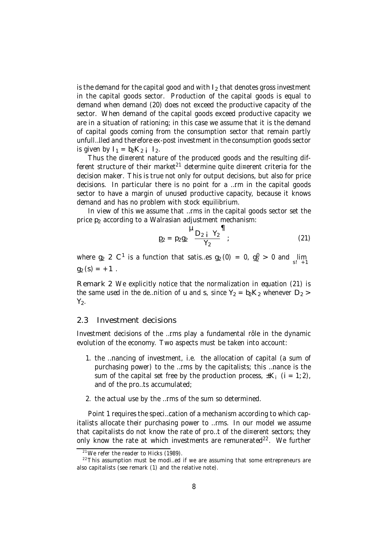is the demand for the capital good and with  $I_2$  that denotes gross investment in the capital goods sector. Production of the capital goods is equal to demand when demand (20) does not exceed the productive capacity of the sector. When demand of the capital goods exceed productive capacity we are in a situation of rationing; in this case we assume that it is the demand of capital goods coming from the consumption sector that remain partly unfull…lled and therefore ex-post investment in the consumption goods sector is given by  $I_1 = b_2K_2$  ;  $I_2$ .

Thus the di¤erent nature of the produced goods and the resulting different structure of their market $^{21}$  determine quite di¤erent criteria for the decision maker. This is true not only for output decisions, but also for price decisions. In particular there is no point for a …rm in the capital goods sector to have a margin of unused productive capacity, because it knows demand and has no problem with stock equilibrium.

In view of this we assume that …rms in the capital goods sector set the price  $p_2$  according to a Walrasian adjustment mechanism:

$$
p_2 = p_2 g_2 \frac{\mu_{D_2 + Y_2}}{Y_2};
$$
 (21)

where  $g_2 \n\geq C^1$  is a function that satis…es  $g_2(0) = 0$ ,  $g_2^0 > 0$  and  $\lim_{s_1 \to 1}$  $q_2 (s) = +1$ .

Remark 2 We explicitly notice that the normalization in equation (21) is the same used in the de...nition of u and s, since  $Y_2 = b_2K_2$  whenever  $D_2 >$  $Y_2$ .

### 2.3 Investment decisions

Investment decisions of the …rms play a fundamental rôle in the dynamic evolution of the economy. Two aspects must be taken into account:

- 1. the …nancing of investment, i.e. the allocation of capital (a sum of purchasing power) to the …rms by the capitalists; this …nance is the sum of the capital set free by the production process,  $\pm K_i$  (i = 1;2), and of the pro…ts accumulated;
- 2. the actual use by the …rms of the sum so determined.

Point 1 requires the speci…cation of a mechanism according to which capitalists allocate their purchasing power to …rms. In our model we assume that capitalists do not know the rate of pro…t of the di¤erent sectors; they only know the rate at which investments are remunerated<sup>22</sup>. We further

 $21$ We refer the reader to Hicks (1989).

 $22$ This assumption must be modi...ed if we are assuming that some entrepreneurs are also capitalists (see remark (1) and the relative note).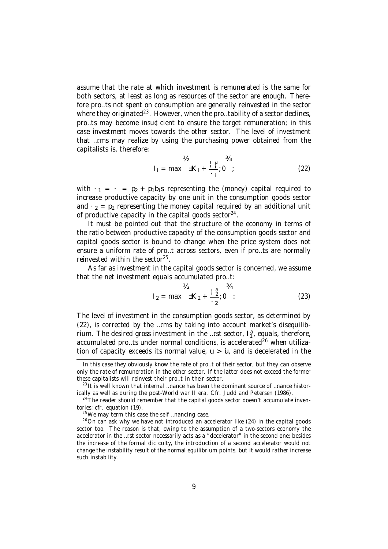assume that the rate at which investment is remunerated is the same for both sectors, at least as long as resources of the sector are enough. Therefore pro…ts not spent on consumption are generally reinvested in the sector where they originated $^{23}$ . However, when the pro…tability of a sector declines, pro…ts may become insu¢cient to ensure the target remuneration; in this case investment moves towards the other sector. The level of investment that …rms may realize by using the purchasing power obtained from the capitalists is, therefore:

$$
V_2 = \max_{i} \pm K_i + \frac{1}{i} \frac{3}{i} = \max_{i} \pm K_i + \frac{1}{i} \frac{3}{i} = 0
$$
 (22)

with  $\cdot_1 = \cdot_2 = p_2 + p_1b_1$  representing the (money) capital required to increase productive capacity by one unit in the consumption goods sector and  $\cdot$  <sub>2</sub> = p<sub>2</sub> representing the money capital required by an additional unit of productive capacity in the capital goods sector $24$ .

It must be pointed out that the structure of the economy in terms of the ratio between productive capacity of the consumption goods sector and capital goods sector is bound to change when the price system does not ensure a uniform rate of pro…t across sectors, even if pro…ts are normally reinvested within the sector<sup>25</sup>.

As far as investment in the capital goods sector is concerned, we assume that the net investment equals accumulated pro…t:

$$
V_2 = \max \pm K_2 + \frac{12}{12}; 0
$$
 (23)

The level of investment in the consumption goods sector, as determined by (22), is corrected by the …rms by taking into account market's disequilibrium. The desired gross investment in the ...rst sector,  $I_1^a$ , equals, therefore, accumulated pro...ts under normal conditions, is accelerated<sup>26</sup> when utilization of capacity exceeds its normal value,  $u > u$ , and is decelerated in the

In this case they obviously know the rate of pro…t of their sector, but they can observe only the rate of remuneration in the other sector. If the latter does not exceed the former these capitalists will reinvest their pro…t in their sector.

<sup>&</sup>lt;sup>23</sup> It is well known that internal ...nance has been the dominant source of ...nance historically as well as during the post-World war II era. Cfr. Judd and Petersen (1986).

 $24$ The reader should remember that the capital goods sector doesn't accumulate inventories; cfr. equation (19).

<sup>&</sup>lt;sup>25</sup>We may term this case the self ...nancing case.

 $26$ On can ask why we have not introduced an accelerator like (24) in the capital goods sector too. The reason is that, owing to the assumption of a two-sectors economy the accelerator in the …rst sector necessarily acts as a "decelerator" in the second one; besides the increase of the formal di¢culty, the introduction of a second accelerator would not change the instability result of the normal equilibrium points, but it would rather increase such instability.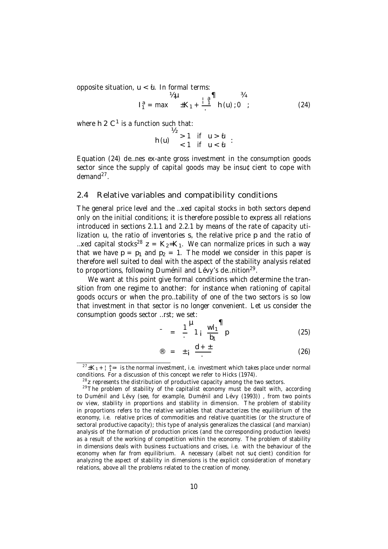opposite situation,  $u < \theta$ . In formal terms:

$$
V_2 \mu \qquad \qquad \frac{V_2}{1} = \max \qquad \pm K_1 + \frac{1}{1} \qquad \qquad \frac{1}{2} \qquad \qquad \frac{1}{2} \qquad \qquad \frac{1}{2} \qquad \qquad \frac{1}{2} \qquad \qquad \frac{1}{2} \qquad \qquad \frac{1}{2} \qquad \qquad \frac{1}{2} \qquad \qquad \frac{1}{2} \qquad \qquad \frac{1}{2} \qquad \qquad \frac{1}{2} \qquad \qquad \frac{1}{2} \qquad \qquad \frac{1}{2} \qquad \qquad \frac{1}{2} \qquad \qquad \frac{1}{2} \qquad \qquad \frac{1}{2} \qquad \qquad \frac{1}{2} \qquad \qquad \frac{1}{2} \qquad \qquad \frac{1}{2} \qquad \qquad \frac{1}{2} \qquad \qquad \frac{1}{2} \qquad \qquad \frac{1}{2} \qquad \qquad \frac{1}{2} \qquad \qquad \frac{1}{2} \qquad \qquad \frac{1}{2} \qquad \qquad \frac{1}{2} \qquad \qquad \frac{1}{2} \qquad \qquad \frac{1}{2} \qquad \qquad \frac{1}{2} \qquad \qquad \frac{1}{2} \qquad \qquad \frac{1}{2} \qquad \qquad \frac{1}{2} \qquad \qquad \frac{1}{2} \qquad \qquad \frac{1}{2} \qquad \qquad \frac{1}{2} \qquad \qquad \frac{1}{2} \qquad \qquad \frac{1}{2} \qquad \qquad \frac{1}{2} \qquad \qquad \frac{1}{2} \qquad \qquad \frac{1}{2} \qquad \qquad \frac{1}{2} \qquad \qquad \frac{1}{2} \qquad \qquad \frac{1}{2} \qquad \qquad \frac{1}{2} \qquad \qquad \frac{1}{2} \qquad \qquad \frac{1}{2} \qquad \qquad \frac{1}{2} \qquad \qquad \frac{1}{2} \qquad \qquad \frac{1}{2} \qquad \qquad \frac{1}{2} \qquad \qquad \frac{1}{2} \qquad \qquad \frac{1}{2} \qquad \qquad \frac{1}{2} \qquad \qquad \frac{1}{2} \qquad \qquad \frac{1}{2} \qquad \qquad \frac{1}{2} \qquad \q
$$

where h 2 C<sup>1</sup> is a function such that:

$$
h(u) \quad \begin{array}{c} \frac{1}{2} > 1 & \text{if} \quad u > u \\ < 1 & \text{if} \quad u < u \\ < 1 & \text{if} \quad u < u \end{array} :
$$

Equation (24) de…nes ex-ante gross investment in the consumption goods sector since the supply of capital goods may be insu¢cient to cope with demand<sup>27</sup>.

### 2.4 Relative variables and compatibility conditions

The general price level and the …xed capital stocks in both sectors depend only on the initial conditions; it is therefore possible to express all relations introduced in sections 2.1.1 and 2.2.1 by means of the rate of capacity utilization u, the ratio of inventories s, the relative price p and the ratio of ...xed capital stocks<sup>28</sup> z =  $K_2$ = $K_1$ . We can normalize prices in such a way that we have  $p = p_1$  and  $p_2 = 1$ . The model we consider in this paper is therefore well suited to deal with the aspect of the stability analysis related to proportions, following Duménil and Lévy's de...nition<sup>29</sup>.

We want at this point give formal conditions which determine the transition from one regime to another: for instance when rationing of capital goods occurs or when the pro…tability of one of the two sectors is so low that investment in that sector is no longer convenient. Let us consider the consumption goods sector …rst; we set:

$$
= \frac{1}{2} \frac{H}{1} \frac{wl_1}{b_1} \frac{m}{p}
$$
 (25)

$$
\mathbf{E} = \pm \mathbf{i} \frac{\mathbf{d} + \pm}{\mathbf{d} - \mathbf{d}}
$$
 (26)

 $^{27}$  $\pm$ K<sub>1</sub> +  $^{1}$  $^{a}$ <sub>7</sub> = is the normal investment, i.e. investment which takes place under normal conditions. For a discussion of this concept we refer to Hicks (1974).

 $28$ z represents the distribution of productive capacity among the two sectors.

 $29$ The problem of stability of the capitalist economy must be dealt with, according to Duménil and Lévy (see, for example, Duménil and Lévy (1993)) , from two points ov view, stability in proportions and stability in dimension. The problem of stability in proportions refers to the relative variables that characterizes the equilibrium of the economy, i.e. relative prices of commodities and relative quantities (or the structure of sectoral productive capacity); this type of analysis generalizes the classical (and marxian) analysis of the formation of production prices (and the corresponding production levels) as a result of the working of competition within the economy. The problem of stability in dimensions deals with business ‡uctuations and crises, i.e. with the behaviour of the economy when far from equilibrium. A necessary (albeit not su¢cient) condition for analyzing the aspect of stability in dimensions is the explicit consideration of monetary relations, above all the problems related to the creation of money.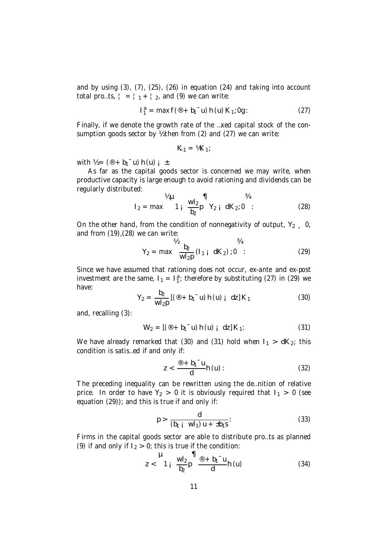and by using (3), (7), (25), (26) in equation (24) and taking into account total pro…ts,  $| = |1 + |2|$ , and (9) we can write:

$$
I_1^a = \max f(\mathbf{P} + b_1^- u) h(u) K_1; 0g: \qquad (27)
$$

Finally, if we denote the growth rate of the …xed capital stock of the consumption goods sector by % then from (2) and (27) we can write:

$$
K_1 = \hbar K_1;
$$

with  $V_2 = (\mathcal{D} + b_1^- u) h(u) i \pm$ .

As far as the capital goods sector is concerned we may write, when productive capacity is large enough to avoid rationing and dividends can be regularly distributed:

$$
I_2 = \max \n\begin{cases}\n\frac{1}{2} \mu & \text{if } \frac{1}{2} \mu \\
\frac{1}{2} \mu & \text{if } \frac{1}{2} \mu\n\end{cases}\n\quad \text{(28)}
$$

On the other hand, from the condition of nonnegativity of output,  $Y_2 = 0$ , and from (19),(28) we can write:

$$
Y_2 = \max \frac{b_2}{w l_2 p} (l_{1 i} dK_2) : 0 : \tag{29}
$$

Since we have assumed that rationing does not occur, ex-ante and ex-post investment are the same,  $I_1 = I_1^a$ ; therefore by substituting (27) in (29) we have:

$$
Y_2 = \frac{b_2}{wI_2p} \left[ (\mathbf{0} + b_1 \mathbf{u}) h(u) \mathbf{i} \, dz \right] K_1 \tag{30}
$$

and, recalling (3):

$$
W_2 = [(\mathbf{0} + \mathbf{b}_1 \mathbf{u}) \mathbf{h}(\mathbf{u}) \mathbf{i} \mathbf{d}z] \mathbf{K}_1. \tag{31}
$$

We have already remarked that (30) and (31) hold when  $I_1 > dK_2$ ; this condition is satis…ed if and only if:

$$
z < \frac{\mathcal{D} + b_1^- u}{d} h(u): \tag{32}
$$

The preceding inequality can be rewritten using the de…nition of relative price. In order to have  $Y_2 > 0$  it is obviously required that  $I_1 > 0$  (see equation (29)); and this is true if and only if:

$$
p > \frac{d}{(b_1 + w l_1) u + \pm b_1 s}.
$$
 (33)

Firms in the capital goods sector are able to distribute pro…ts as planned (9) if and only if  $I_2 > 0$ ; this is true if the condition:

$$
z < \frac{\mu}{1 + \frac{wl_2}{b_2}p} \frac{\mathbf{q}}{\theta} + \frac{b_1 - u}{d} h(u) \tag{34}
$$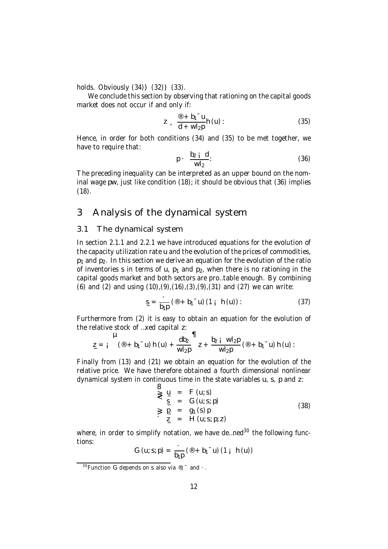holds. Obviously  $(34)$ ) $(32)$ ) $(33)$ .

We conclude this section by observing that rationing on the capital goods market does not occur if and only if:

$$
z = \frac{100 + b_1 - u}{d + w l_2 p} h(u)
$$
 (35)

Hence, in order for both conditions (34) and (35) to be met together, we have to require that:

$$
p \cdot \frac{b_2 \mathbf{i} \mathbf{d}}{w l_2}.
$$
 (36)

The preceding inequality can be interpreted as an upper bound on the nominal wage pw, just like condition (18); it should be obvious that (36) implies (18).

# 3 Analysis of the dynamical system

### 3.1 The dynamical system

In section 2.1.1 and 2.2.1 we have introduced equations for the evolution of the capacity utilization rate u and the evolution of the prices of commodities,  $p_1$  and  $p_2$ . In this section we derive an equation for the evolution of the ratio of inventories s in terms of u,  $p_1$  and  $p_2$ , when there is no rationing in the capital goods market and both sectors are pro…table enough. By combining (6) and (2) and using  $(10)$ , $(9)$ , $(16)$ , $(3)$ , $(9)$ , $(31)$  and  $(27)$  we can write:

$$
s = \frac{1}{b_1 p} (\mathbf{0} + b_1 \mathbf{u}) (1 \mathbf{i} h(u)) : \qquad (37)
$$

Furthermore from (2) it is easy to obtain an equation for the evolution of the relative stock of …xed capital z:

z\_ = ¡ µ (® + b1¯u) h (u) + db<sup>2</sup> wl2p ¶ z + b<sup>2</sup> ¡ wl2p wl2p (® + b1¯u) h (u):

Finally from (13) and (21) we obtain an equation for the evolution of the relative price. We have therefore obtained a fourth dimensional nonlinear dynamical system in continuous time in the state variables u, s, p and z:

$$
\begin{array}{rcl}\n\mathbf{S} & \mathbf{u} & = & F(u; s) \\
\mathbf{S} & = & G(u; s; p) \\
\mathbf{S} & \mathbf{p} & = & g_1(s) p \\
\mathbf{z} & = & H(u; s; p; z)\n\end{array} \tag{38}
$$

where, in order to simplify notation, we have de…ned<sup>30</sup> the following functions:

$$
G (u; s; p) = \frac{1}{b_1 p} ({}^{\circledR} + b_1 \circ u) (1 \cdot h (u))
$$

 $30$  Function G depends on s also via  $\mathcal{D}_1^+$  and  $\cdot$ .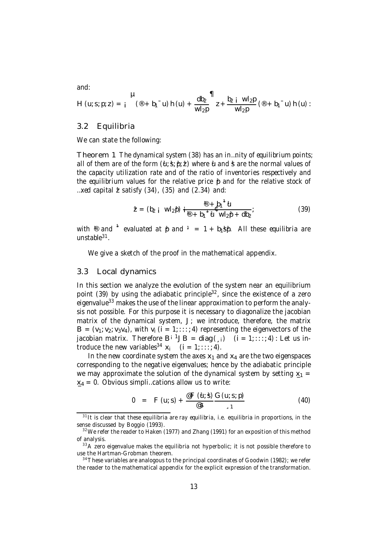and:

$$
H (u; s; p; z) = \int_{1}^{u} (\mathbf{r} + b_{1}^{-} u) h (u) + \frac{d b_{2}}{w l_{2} p} \mathbf{r} + \frac{b_{2} + w l_{2} p}{w l_{2} p} (\mathbf{r} + b_{1}^{-} u) h (u) :
$$

### 3.2 Equilibria

We can state the following:

Theorem 1 The dynamical system (38) has an in…nity of equilibrium points; all of them are of the form  $(\mathbf{u}:\mathbf{s}; \mathbf{v}; \mathbf{z})$  where  $\mathbf{u}$  and st are the normal values of the capacity utilization rate and of the ratio of inventories respectively and the equilibrium values for the relative price  $\beta$  and for the relative stock of ... xed capital  $\dot{\mathcal{Z}}$  satisfy (34), (35) and (2.34) and:

$$
\mathbf{Z} = (b_2 \mathbf{i} \ \mathbf{W} \mathbf{l}_2 \mathbf{p}) \mathbf{i} \frac{\mathbf{D} + b_1^{-1} \mathbf{U}}{\mathbf{D} + b_1^{-1} \mathbf{U} \ \mathbf{W} \mathbf{l}_2 \mathbf{p} + d \mathbf{b}_2};
$$
(39)

with  $^{\circledR}$  and  $^{\circledR}$  evaluated at  $\beta$  and  $^{\circledR}$  = 1 + b<sub>1</sub>s $\beta$ . All these equilibria are unstable<sup>31</sup>.

We give a sketch of the proof in the mathematical appendix.

#### 3.3 Local dynamics

In this section we analyze the evolution of the system near an equilibrium point (39) by using the adiabatic principle<sup>32</sup>, since the existence of a zero eigenvalue<sup>33</sup> makes the use of the linear approximation to perform the analysis not possible. For this purpose it is necessary to diagonalize the jacobian matrix of the dynamical system,  $J$ ; we introduce, therefore, the matrix  $B = (v_1; v_2; v_3v_4)$ , with  $v_i$  (i = 1;::; 4) representing the eigenvectors of the jacobian matrix. Therefore  $B^{i}{}^{1}JB = diag($ ; i)  $(i = 1; \ldots; 4)$ : Let us introduce the new variables<sup>34</sup>  $x_i$  (i = 1;:::; 4).

In the new coordinate system the axes  $x_1$  and  $x_4$  are the two eigenspaces corresponding to the negative eigenvalues; hence by the adiabatic principle we may approximate the solution of the dynamical system by setting  $x_1 =$  $x_4 = 0$ . Obvious simpli…cations allow us to write:

$$
0 = F (u; s) + \frac{{}^{\omega}F (u; s)}{{}^{\omega} s} \frac{G (u; s; p)}{s^{1}}
$$
(40)

<sup>&</sup>lt;sup>31</sup>It is clear that these equilibria are ray equilibria, i.e. equilibria in proportions, in the sense discussed by Boggio (1993).

 $32$  We refer the reader to Haken (1977) and Zhang (1991) for an exposition of this method of analysis.

<sup>&</sup>lt;sup>33</sup>A zero eigenvalue makes the equilibria not hyperbolic; it is not possible therefore to use the Hartman-Grobman theorem.

 $34$  These variables are analogous to the principal coordinates of Goodwin (1982); we refer the reader to the mathematical appendix for the explicit expression of the transformation.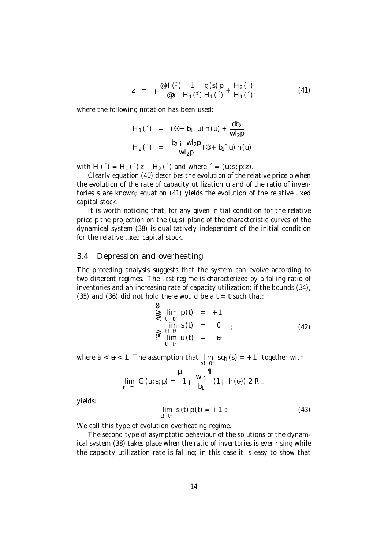$$
z = i \frac{\text{eH}(1)}{\text{e}p} \frac{1}{H_1(1)} \frac{g(s)p}{H_1(1)} + \frac{H_2(1)}{H_1(1)}.
$$
 (41)

where the following notation has been used:

H<sub>1</sub>(
$$
\cdot
$$
) = ( $\circ$  + b<sub>1</sub> $\cdot$  u) h (u) +  $\frac{db_2}{wl_2p}$   
H<sub>2</sub>( $\cdot$ ) =  $\frac{b_2 i}{wl_2p} (\circledast + b_1 \circ u) h (u)$ ;

with H (') = H<sub>1</sub> (') z + H<sub>2</sub> (') and where ' = (u; s; p; z).

Clearly equation (40) describes the evolution of the relative price p when the evolution of the rate of capacity utilization u and of the ratio of inventories s are known; equation (41) yields the evolution of the relative …xed capital stock.

It is worth noticing that, for any given initial condition for the relative price p the projection on the (u; s) plane of the characteristic curves of the dynamical system (38) is qualitatively independent of the initial condition for the relative …xed capital stock.

### 3.4 Depression and overheating

The preceding analysis suggests that the system can evolve according to two di¤erent regimes. The …rst regime is characterized by a falling ratio of inventories and an increasing rate of capacity utilization; if the bounds (34), (35) and (36) did not hold there would be a  $t = t$  such that:

$$
\sum_{t=1}^{3} \lim_{\substack{t=1 \text{ if } t \leq t \\ t \leq t}} p(t) = +1
$$
\n
$$
\sum_{t=1 \text{ if } t \leq t} \lim_{t \leq t} s(t) = 0
$$
\n
$$
\sum_{t=1 \text{ if } t} p(t) = 0
$$
\n(42)

where  $\mathbf{u} < \mathbf{u} < 1$ . The assumption that  $\lim_{s \to 0^+} \text{sg}_1(s) = +1$  together with:  $s!0+$ 

$$
\mathop {\lim }\limits_{t! \text{ } t!} \text{ } G\left( {u;s;p} \right) = \frac{\mu }{1 \text{ } i} \text{ } \frac{{\text{ }}w{{\text{ }}l_1}}{\text{ }{{b_1}}} \text{ } \left( {1 \text{ } i \text{ } \text{ } h\left( u \right)} \right)2\text{ }{R_ + }
$$

yields:

$$
\lim_{t \to t^i} s(t) p(t) = +1: \tag{43}
$$

We call this type of evolution overheating regime.

The second type of asymptotic behaviour of the solutions of the dynamical system (38) takes place when the ratio of inventories is ever rising while the capacity utilization rate is falling; in this case it is easy to show that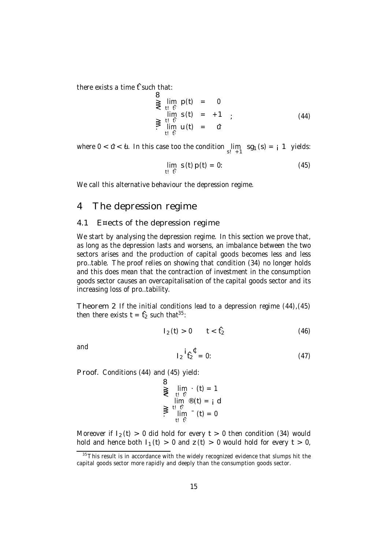there exists a time  $f$  such that:

B  
\n
$$
\sum_{t} \lim_{t \to t} p(t) = 0
$$
\n
$$
\lim_{t \to t} s(t) = +1
$$
\n
$$
\sum_{t} \lim_{t \to t} f(t) = 0
$$
\n(44)

where  $0 < \hat{u} < \hat{u}$ . In this case too the condition  $\lim_{s_1 \to 1} \text{sg}_1(s) = \text{i} 1$  yields:

$$
\lim_{t \to t_1} s(t) p(t) = 0: \tag{45}
$$

We call this alternative behaviour the depression regime.

# 4 The depression regime

### 4.1 E¤ects of the depression regime

We start by analysing the depression regime. In this section we prove that, as long as the depression lasts and worsens, an imbalance between the two sectors arises and the production of capital goods becomes less and less pro…table. The proof relies on showing that condition (34) no longer holds and this does mean that the contraction of investment in the consumption goods sector causes an overcapitalisation of the capital goods sector and its increasing loss of pro…tability.

Theorem 2 If the initial conditions lead to a depression regime (44),(45) then there exists  $t = f_2$  such that<sup>35</sup>:

$$
1_2(t) > 0 \t t < f_2 \t (46)
$$

and

$$
I_2 \stackrel{\text{i}}{t}_2^{\mathfrak{C}} = 0: \tag{47}
$$

Proof. Conditions (44) and (45) yield:

$$
\sum_{t=0}^{t} \lim_{\begin{subarray}{l} t \in \mathfrak{h} \\ t \in \mathfrak{h} \end{subarray}} \frac{t}{t} \cdot \lim_{t \to \mathfrak{h}} \frac{t}{t} \cdot \lim_{\begin{subarray}{l} t \in \mathfrak{h} \\ t \in \mathfrak{h} \end{subarray}} \frac{t}{t} \cdot \lim_{\begin{subarray}{l} t \in \mathfrak{h} \\ t \in \mathfrak{h} \end{subarray}} \frac{t}{t} \cdot \lim_{t \to \mathfrak{h}} \frac{t}{t} \cdot \lim_{\begin{subarray}{l} t \in \mathfrak{h} \end{subarray}} \frac{t}{t} \cdot \lim_{t \to \mathfrak{h}} \frac{t}{t} \cdot \lim_{\begin{subarray}{l} t \in \mathfrak{h} \end{subarray}} \frac{t}{t} \cdot \lim_{\begin{subarray}{l} t \in \mathfrak{h} \end{subarray}} \frac{t}{t} \cdot \lim_{\begin{subarray}{l} t \in \mathfrak{h} \end{subarray}} \frac{t}{t} \cdot \lim_{\begin{subarray}{l} t \in \mathfrak{h} \end{subarray}} \frac{t}{t} \cdot \lim_{\begin{subarray}{l} t \in \mathfrak{h} \end{subarray}} \frac{t}{t} \cdot \lim_{\begin{subarray}{l} t \in \mathfrak{h} \end{subarray}} \frac{t}{t} \cdot \lim_{\begin{subarray}{l} t \in \mathfrak{h} \end{subarray}} \frac{t}{t} \cdot \lim_{\begin{subarray}{l} t \in \mathfrak{h} \end{subarray}} \frac{t}{t} \cdot \lim_{\begin{subarray}{l} t \in \mathfrak{h} \end{subarray}} \frac{t}{t} \cdot \lim_{\begin{subarray}{l} t \in \mathfrak{h} \end{subarray}} \frac{t}{t} \cdot \lim_{\begin{subarray}{l} t \in \mathfrak{h} \end{subarray}} \frac{t}{t} \cdot \lim_{\begin{subarray}{l} t \in \mathfrak{h} \end{subarray}} \frac{t}{t} \cdot \lim_{\begin{subarray}{l} t \in \mathfrak{h} \end{subarray}} \frac{t}{t} \cdot \lim_{\begin{subarray}{l} t \in \mathfrak{h} \end{subarray}} \frac{t}{t} \cdot \lim_{
$$

Moreover if  $I_2(t) > 0$  did hold for every  $t > 0$  then condition (34) would hold and hence both  $I_1(t) > 0$  and  $\zeta(t) > 0$  would hold for every  $t > 0$ ,

 $\frac{35}{35}$ This result is in accordance with the widely recognized evidence that slumps hit the capital goods sector more rapidly and deeply than the consumption goods sector.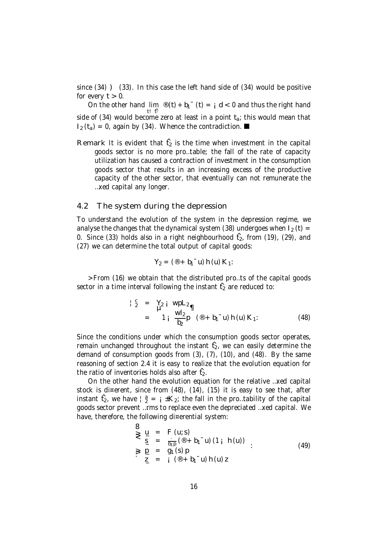since (34) ) (33). In this case the left hand side of (34) would be positive for every  $t > 0$ .

On the other hand  $\lim_{t\to 0}$  (i) + b<sub>1</sub><sup>-</sup> (t) = i d < 0 and thus the right hand t! fi side of (34) would become zero at least in a point  $t_a$ ; this would mean that  $I_2(t_a) = 0$ , again by (34). Whence the contradiction.

Remark It is evident that  $f_2$  is the time when investment in the capital goods sector is no more pro…table; the fall of the rate of capacity utilization has caused a contraction of investment in the consumption goods sector that results in an increasing excess of the productive capacity of the other sector, that eventually can not remunerate the …xed capital any longer.

### 4.2 The system during the depression

To understand the evolution of the system in the depression regime, we analyse the changes that the dynamical system (38) undergoes when  $I_2$  (t) = 0. Since (33) holds also in a right neighbourhood  $f_2$ , from (19), (29), and (27) we can determine the total output of capital goods:

$$
Y_2 = (\mathbf{0} + b_1 \mathbf{u}) \, h(u) \, K_1
$$

>From (16) we obtain that the distributed pro…ts of the capital goods sector in a time interval following the instant  $f_2$  are reduced to:

$$
\begin{array}{rcl}\n\downarrow^{c}_{2} & = & Y_{2} \text{ i } \text{ wpl}_{2} \eta \\
& = & 1 \text{ i } \frac{\text{w1}_{2}}{\text{b}_{2}} \text{ p } \text{ (}^{\circledcirc} + \text{b}_{1}^{-} \text{u} \text{) h } \text{(u)} \text{ K}_{1} \text{ :}\n\end{array} \tag{48}
$$

Since the conditions under which the consumption goods sector operates, remain unchanged throughout the instant  $f_2$ , we can easily determine the demand of consumption goods from (3), (7), (10), and (48). By the same reasoning of section 2.4 it is easy to realize that the evolution equation for the ratio of inventories holds also after  $f_2$ .

On the other hand the evolution equation for the relative …xed capital stock is di¤erent, since from (48), (14), (15) it is easy to see that, after instant  $\hat{t}_2$ , we have  $|\hat{a}| = i \pm K_2$ ; the fall in the pro…tability of the capital goods sector prevent …rms to replace even the depreciated …xed capital. We have, therefore, the following di¤erential system:

$$
\begin{array}{rcl}\n\mathbf{B} & \mathbf{U} & = & F(u; s) \\
\mathbf{S} & \mathbf{S} & = & \frac{1}{b_1 p} (\mathbf{B} + b_1 \mathbf{U}) (1 + h(u)) \\
\mathbf{S} & \mathbf{U} & = & g_1(s) p \\
\mathbf{Z} & = & \mathbf{i} (\mathbf{B} + b_1 \mathbf{U}) h(u) z\n\end{array} \tag{49}
$$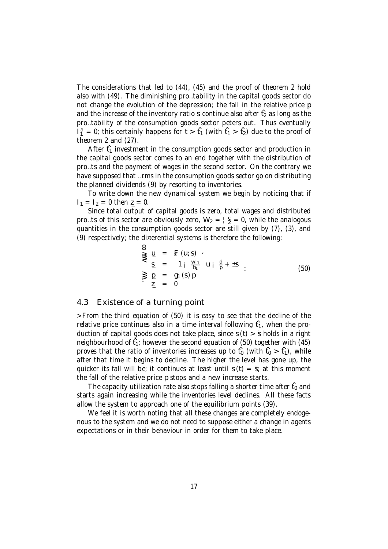The considerations that led to (44), (45) and the proof of theorem 2 hold also with (49). The diminishing pro…tability in the capital goods sector do not change the evolution of the depression; the fall in the relative price p and the increase of the inventory ratio s continue also after  $f_2$  as long as the pro…tability of the consumption goods sector peters out. Thus eventually  $I_1^a = 0$ ; this certainly happens for  $t > t_1$  (with  $t_1 > t_2$ ) due to the proof of theorem 2 and (27).

After  $f_1$  investment in the consumption goods sector and production in the capital goods sector comes to an end together with the distribution of pro…ts and the payment of wages in the second sector. On the contrary we have supposed that …rms in the consumption goods sector go on distributing the planned dividends (9) by resorting to inventories.

To write down the new dynamical system we begin by noticing that if  $I_1 = I_2 = 0$  then  $I_2 = 0$ .

Since total output of capital goods is zero, total wages and distributed pro...ts of this sector are obviously zero,  $W_2 = \frac{1}{2}c = 0$ , while the analogous quantities in the consumption goods sector are still given by (7), (3), and (9) respectively; the di¤erential systems is therefore the following:

$$
\begin{array}{rcl}\n\mathbf{y} & \mathbf{y} & = & \mathbf{g} \quad (\mathbf{u}; \mathbf{s}) \\
\mathbf{y} & \mathbf{y} & = & \mathbf{g} \quad (\mathbf{u}; \mathbf{s}) \\
\mathbf{y} & \mathbf{y} & = & \mathbf{g}_1 \quad (\mathbf{s}) \mathbf{p} \\
\mathbf{y} & \mathbf{y} & = & \mathbf{g}_1 \quad (\mathbf{s}) \mathbf{p} \\
\mathbf{y} & \mathbf{z} & = & 0\n\end{array} \tag{50}
$$

### 4.3 Existence of a turning point

>From the third equation of (50) it is easy to see that the decline of the relative price continues also in a time interval following  $f_1$ , when the production of capital goods does not take place, since  $s(t) > \frac{4}{3}$  holds in a right neighbourhood of  $f_1$ ; however the second equation of (50) together with (45) proves that the ratio of inventories increases up to  $f_0$  (with  $f_0 > f_1$ ), while after that time it begins to decline. The higher the level has gone up, the quicker its fall will be; it continues at least until  $s(t) = \dot{s}$ ; at this moment the fall of the relative price p stops and a new increase starts.

The capacity utilization rate also stops falling a shorter time after  $f_0$  and starts again increasing while the inventories level declines. All these facts allow the system to approach one of the equilibrium points (39).

We feel it is worth noting that all these changes are completely endogenous to the system and we do not need to suppose either a change in agents expectations or in their behaviour in order for them to take place.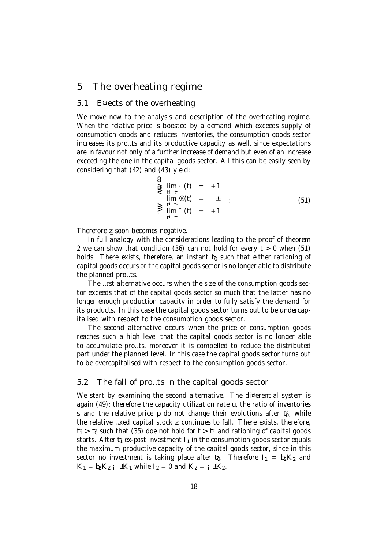# 5 The overheating regime

# 5.1 E¤ects of the overheating

We move now to the analysis and description of the overheating regime. When the relative price is boosted by a demand which exceeds supply of consumption goods and reduces inventories, the consumption goods sector increases its pro…ts and its productive capacity as well, since expectations are in favour not only of a further increase of demand but even of an increase exceeding the one in the capital goods sector. All this can be easily seen by considering that (42) and (43) yield:

$$
\sum_{t=0}^{t=0} \lim_{\begin{array}{l} t \to t \\ t \to t \\ t \to t \end{array}} \frac{t}{t} = \sum_{t=0}^{t} \lim_{t \to t} \frac{t}{t} = \sum_{t=0}^{t} \frac{t}{t} = \sum_{t=0}^{t} \frac{t}{t} = \sum_{t=0}^{t} \frac{t}{t} = \sum_{t=0}^{t} \frac{t}{t} = \sum_{t=0}^{t} \frac{t}{t} = \sum_{t=0}^{t} \frac{t}{t} = \sum_{t=0}^{t} \frac{t}{t} = \sum_{t=0}^{t} \frac{t}{t} = \sum_{t=0}^{t} \frac{t}{t} = \sum_{t=0}^{t} \frac{t}{t} = \sum_{t=0}^{t} \frac{t}{t} = \sum_{t=0}^{t} \frac{t}{t} = \sum_{t=0}^{t} \frac{t}{t} = \sum_{t=0}^{t} \frac{t}{t} = \sum_{t=0}^{t} \frac{t}{t} = \sum_{t=0}^{t} \frac{t}{t} = \sum_{t=0}^{t} \frac{t}{t} = \sum_{t=0}^{t} \frac{t}{t} = \sum_{t=0}^{t} \frac{t}{t} = \sum_{t=0}^{t} \frac{t}{t} = \sum_{t=0}^{t} \frac{t}{t} = \sum_{t=0}^{t} \frac{t}{t} = \sum_{t=0}^{t} \frac{t}{t} = \sum_{t=0}^{t} \frac{t}{t} = \sum_{t=0}^{t} \frac{t}{t} = \sum_{t=0}^{t} \frac{t}{t} = \sum_{t=0}^{t} \frac{t}{t} = \sum_{t=0}^{t} \frac{t}{t} = \sum_{t=0}^{t} \frac{t}{t} = \sum_{t=0}^{t} \frac{t}{t} = \sum_{t=0}^{t} \frac{t}{t} = \sum_{t=0}^{t} \frac{t}{t} = \sum_{t=0}^{t} \frac{t}{t} = \sum_{t=0}^{t} \frac{t}{t} = \sum_{t=0}^{t} \frac{t}{t} = \sum_{t=0}^{t} \frac{t}{t} = \sum_{t=0}^{t} \frac{t}{t} = \sum_{t=0}^{t} \frac{t}{t} = \
$$

Therefore z soon becomes negative.

In full analogy with the considerations leading to the proof of theorem 2 we can show that condition (36) can not hold for every  $t > 0$  when (51) holds. There exists, therefore, an instant  $t_0$  such that either rationing of capital goods occurs or the capital goods sector is no longer able to distribute the planned pro…ts.

The …rst alternative occurs when the size of the consumption goods sector exceeds that of the capital goods sector so much that the latter has no longer enough production capacity in order to fully satisfy the demand for its products. In this case the capital goods sector turns out to be undercapitalised with respect to the consumption goods sector.

The second alternative occurs when the price of consumption goods reaches such a high level that the capital goods sector is no longer able to accumulate pro…ts, moreover it is compelled to reduce the distributed part under the planned level. In this case the capital goods sector turns out to be overcapitalised with respect to the consumption goods sector.

### 5.2 The fall of pro…ts in the capital goods sector

We start by examining the second alternative. The di¤erential system is again (49); therefore the capacity utilization rate u, the ratio of inventories s and the relative price p do not change their evolutions after  $t_0$ , while the relative …xed capital stock z continues to fall. There exists, therefore,  $t_1 > t_0$  such that (35) doe not hold for  $t > t_1$  and rationing of capital goods starts. After  $t_1$  ex-post investment  $I_1$  in the consumption goods sector equals the maximum productive capacity of the capital goods sector, since in this sector no investment is taking place after  $t_0$ . Therefore  $I_1 = b_2K_2$  and  $K_1 = b_2 K_2$   $\rm{i}$   $\pm K_1$  while  $I_2 = 0$  and  $K_2 = \rm{i} \pm K_2$ .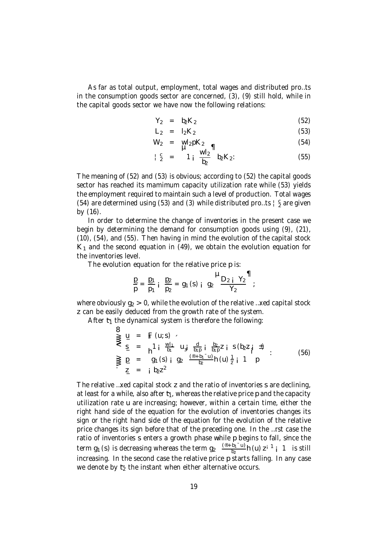As far as total output, employment, total wages and distributed pro…ts in the consumption goods sector are concerned, (3), (9) still hold, while in the capital goods sector we have now the following relations:

$$
Y_2 = b_2 K_2 \tag{52}
$$

$$
L_2 = I_2 K_2 \tag{53}
$$

$$
W_2 = W_2 pK_2 \quad \blacksquare
$$
 (54)

$$
\begin{array}{rcl}\n\downarrow \frac{c}{2} & = & 1_i \frac{Wl_2}{b_2} \frac{Wl_2}{b_2} K_2 \\
\end{array} \tag{55}
$$

The meaning of (52) and (53) is obvious; according to (52) the capital goods sector has reached its mamimum capacity utilization rate while (53) yields the employment required to maintain such a level of production. Total wages (54) are determined using (53) and (3) while distributed pro...ts  $\frac{1}{2}$  are given by (16).

In order to determine the change of inventories in the present case we begin by determining the demand for consumption goods using (9), (21), (10), (54), and (55). Then having in mind the evolution of the capital stock  $K_1$  and the second equation in (49), we obtain the evolution equation for the inventories level.

The evolution equation for the relative price p is:

$$
\frac{p}{p} = \frac{p_1}{p_1} i \frac{p_2}{p_2} = g_1(s) i g_2 \frac{\mu_{D_2 i} \gamma_2}{\gamma_2};
$$

where obviously  $g_2 > 0$ , while the evolution of the relative ... xed capital stock z can be easily deduced from the growth rate of the system.

After  $t_1$  the dynamical system is therefore the following:

$$
\sum_{z=1}^{3} u = \sum_{i=1}^{5} (u; s)
$$
\n
$$
\sum_{z=1}^{3} u = \sum_{i=1}^{5} u_{i} \frac{1}{b_{i}} u_{i} \frac{1}{b_{i}} \frac{1}{b_{i}} \frac{b_{2}}{b_{i}} z_{i} s (b_{2} z_{i} + b_{1} z_{i})
$$
\n
$$
\sum_{i=1}^{5} u_{i} = \sum_{i=1}^{5} u_{i} s_{i} \frac{1}{b_{i}} \frac{1}{b_{i}} \frac{1}{b_{i}} \frac{b_{2}}{b_{i}} \frac{1}{b_{i}} \frac{1}{b_{i}} \frac{1}{b_{i}} \frac{1}{b_{i}} \frac{1}{b_{i}} \frac{1}{b_{i}} \frac{1}{b_{i}} \frac{1}{b_{i}} \frac{1}{b_{i}} \frac{1}{b_{i}} \frac{1}{b_{i}} \frac{1}{b_{i}} \frac{1}{b_{i}} \frac{1}{b_{i}} \frac{1}{b_{i}} \frac{1}{b_{i}} \frac{1}{b_{i}} \frac{1}{b_{i}} \frac{1}{b_{i}} \frac{1}{b_{i}} \frac{1}{b_{i}} \frac{1}{b_{i}} \frac{1}{b_{i}} \frac{1}{b_{i}} \frac{1}{b_{i}} \frac{1}{b_{i}} \frac{1}{b_{i}} \frac{1}{b_{i}} \frac{1}{b_{i}} \frac{1}{b_{i}} \frac{1}{b_{i}} \frac{1}{b_{i}} \frac{1}{b_{i}} \frac{1}{b_{i}} \frac{1}{b_{i}} \frac{1}{b_{i}} \frac{1}{b_{i}} \frac{1}{b_{i}} \frac{1}{b_{i}} \frac{1}{b_{i}} \frac{1}{b_{i}} \frac{1}{b_{i}} \frac{1}{b_{i}} \frac{1}{b_{i}} \frac{1}{b_{i}} \frac{1}{b_{i}} \frac{1}{b_{i}} \frac{1}{b_{i}} \frac{1}{b_{i}} \frac{1}{b_{i}} \frac{1}{b_{i}} \frac{1}{b_{i}} \frac{1}{b_{i}} \frac{1}{b_{i}} \frac{1}{b_{i}} \frac{1}{b_{i}} \frac{1}{b_{i}} \frac{1}{b_{i}} \frac{1}{b_{i}} \frac{1}{b_{i}} \frac{1}{b_{i}} \frac{
$$

The relative …xed capital stock z and the ratio of inventories s are declining, at least for a while, also after  $t_1$ , whereas the relative price p and the capacity utilization rate u are increasing; however, within a certain time, either the right hand side of the equation for the evolution of inventories changes its sign or the right hand side of the equation for the evolution of the relative price changes its sign before that of the preceding one. In the …rst case the ratio of inventories s enters a growth phase while p begins to fall, since the term g<sub>1</sub> (s) is decreasing whereas the term g<sub>2</sub>  $\frac{(\circledast + b_1 - u)}{b_2}$  $\frac{b_1 - u}{b_2}$ h (u) z<sup>i 1</sup> j 1 is still increasing. In the second case the relative price p starts falling. In any case we denote by  $t<sub>2</sub>$  the instant when either alternative occurs.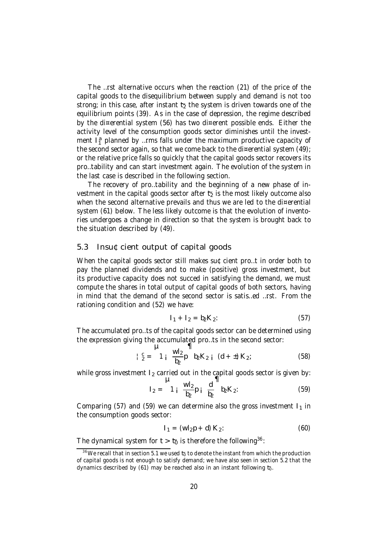The …rst alternative occurs when the reaction (21) of the price of the capital goods to the disequilibrium between supply and demand is not too strong; in this case, after instant  $t<sub>2</sub>$  the system is driven towards one of the equilibrium points (39). As in the case of depression, the regime described by the di¤erential system (56) has two di¤erent possible ends. Either the activity level of the consumption goods sector diminishes until the investment  $I_1^a$  planned by ...rms falls under the maximum productive capacity of the second sector again, so that we come back to the di¤erential system (49); or the relative price falls so quickly that the capital goods sector recovers its pro…tability and can start investment again. The evolution of the system in the last case is described in the following section.

The recovery of pro…tability and the beginning of a new phase of investment in the capital goods sector after  $t<sub>2</sub>$  is the most likely outcome also when the second alternative prevails and thus we are led to the di¤erential system (61) below. The less likely outcome is that the evolution of inventories undergoes a change in direction so that the system is brought back to the situation described by (49).

### 5.3 Insu¢cient output of capital goods

When the capital goods sector still makes su¢cient pro…t in order both to pay the planned dividends and to make (positive) gross investment, but its productive capacity does not succed in satisfying the demand, we must compute the shares in total output of capital goods of both sectors, having in mind that the demand of the second sector is satis…ed …rst. From the rationing condition and (52) we have:

$$
I_1 + I_2 = b_2 K_2:
$$
 (57)

The accumulated pro…ts of the capital goods sector can be determined using the expression giving the accumulated pro…ts in the second sector:

$$
\frac{1}{2} \sum_{i=1}^{3} \frac{1}{2} \sum_{j=1}^{3} p \binom{1}{2} K_{2} i \quad (d + \pm) K_{2}; \tag{58}
$$

while gross investment  $I_2$  carried out in the capital goods sector is given by:

$$
I_2 = \begin{bmatrix} 1 \\ 1 \\ 1 \end{bmatrix} \frac{WI_2}{b_2} p_i \frac{d}{b_2} \frac{d}{b_2} K_2
$$
 (59)

Comparing (57) and (59) we can determine also the gross investment  $I_1$  in the consumption goods sector:

$$
I_1 = (wl_2p + d) K_2:
$$
 (60)

The dynamical system for  $t > t_0$  is therefore the following<sup>36</sup>:

 $36$  We recall that in section 5.1 we used  $t_0$  to denote the instant from which the production of capital goods is not enough to satisfy demand; we have also seen in section 5.2 that the dynamics described by (61) may be reached also in an instant following  $t_0$ .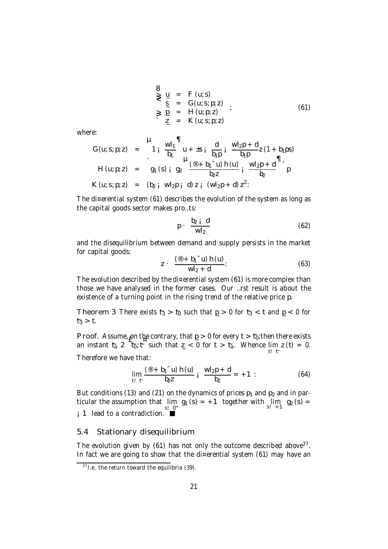8  
\n
$$
\ge \frac{u}{s} = F(u; s)
$$
  
\n $\ge \frac{g}{s} = G(u; s; p; z)$   
\n $\ge \frac{g}{s} = H(u; p; z)$   
\n $\ge \frac{g}{s} = K(u; s; p; z)$  (61)

where:

G (u; s; p; z) = 
$$
\begin{vmatrix} \mathbf{u} & \mathbf{u}_1 \\ 1 & \mathbf{u}_1 \end{vmatrix}^T
$$
  
\nH (u; p; z) =  $\begin{vmatrix} 1 & \frac{w_1}{b_1} & \frac{w_1}{b_1} & \frac{w_1}{b_1} & \frac{w_1}{b_1} & \frac{w_1}{b_1} & \frac{w_1}{b_1} & \frac{w_1}{b_1} & \frac{w_1}{b_1} & \frac{w_1}{b_1} & \frac{w_1}{b_1} & \frac{w_1}{b_1} & \frac{w_1}{b_1} & \frac{w_1}{b_1} & \frac{w_1}{b_1} & \frac{w_1}{b_1} & \frac{w_1}{b_1} & \frac{w_1}{b_1} & \frac{w_1}{b_1} & \frac{w_1}{b_1} & \frac{w_1}{b_1} & \frac{w_1}{b_1} & \frac{w_1}{b_1} & \frac{w_1}{b_1} & \frac{w_1}{b_1} & \frac{w_1}{b_1} & \frac{w_1}{b_1} & \frac{w_1}{b_1} & \frac{w_1}{b_1} & \frac{w_1}{b_1} & \frac{w_1}{b_1} & \frac{w_1}{b_1} & \frac{w_1}{b_1} & \frac{w_1}{b_1} & \frac{w_1}{b_1} & \frac{w_1}{b_1} & \frac{w_1}{b_1} & \frac{w_1}{b_1} & \frac{w_1}{b_1} & \frac{w_1}{b_1} & \frac{w_1}{b_1} & \frac{w_1}{b_1} & \frac{w_1}{b_1} & \frac{w_1}{b_1} & \frac{w_1}{b_1} & \frac{w_1}{b_1} & \frac{w_1}{b_1} & \frac{w_1}{b_1} & \frac{w_1}{b_1} & \frac{w_1}{b_1} & \frac{w_1}{b_1} & \frac{w_1}{b_1} & \frac{w_1}{b_1} & \frac{w_1}{b_1} & \frac{w_1}{b_1} & \frac{w_1}{b_1} & \frac{w_1}{b_1} & \frac{w_1}{b_1} & \frac{$ 

The di¤erential system (61) describes the evolution of the system as long as the capital goods sector makes pro…ts:

$$
p \cdot \frac{b_2 \text{ i } d}{wl_2} \tag{62}
$$

and the disequilibrium between demand and supply persists in the market for capital goods;

$$
z \cdot \frac{(\mathbb{B} + b_1^- u) h(u)}{w l_2 + d}.
$$
 (63)

The evolution described by the di¤erential system  $(61)$  is more complex than those we have analysed in the former cases. Our …rst result is about the existence of a turning point in the rising trend of the relative price p.

Theorem 3 There exists  $t_3 > t_0$  such that  $p > 0$  for  $t_3 < t$  and  $p < 0$  for  $t_{3} > t$ .

Proof. Assume, on the contrary, that  $p > 0$  for every  $t > t_0$ ; then there exists an instant  $t_a$  2  $\overline{t}_0$ ;  $\overline{t}$  such that  $z < 0$  for  $t > t_a$ . Whence  $\lim_{t \to \infty} z(t) = 0$ . <sup>t</sup>!~<sup>t</sup> Therefore we have that:

$$
\lim_{t \to t} \frac{(\mathbb{B} + b_1^- u) h(u)}{b_2 z} i \frac{w I_2 p + d}{b_2} = +1: \tag{64}
$$

But conditions (13) and (21) on the dynamics of prices  $p_1$  and  $p_2$  and in particular the assumption that  $\lim_{s:\_0^+} g_1(s) = +1$  together with  $\lim_{s:\_1^+} g_2(s) =$ s! 0<sup>+</sup><br>■ i 1 lead to a contradiction.

### 5.4 Stationary disequilibrium

The evolution given by (61) has not only the outcome described above<sup>37</sup>. In fact we are going to show that the di¤erential system (61) may have an

 $37$  I.e. the return toward the equilibria (39).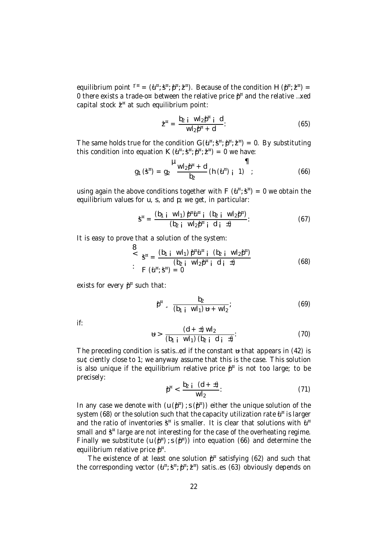equilibrium point  $I^{\pi} = (\mathbf{d}^{\pi}; \mathbf{3}^{\pi}; \mathbf{\beta}^{\pi}; \mathbf{2}^{\pi})$ . Because of the condition H  $(\mathbf{\beta}^{\pi}; \mathbf{2}^{\pi}) =$ 0 there exists a trade-o¤ between the relative price  $\boldsymbol{\beta}^{\text{u}}$  and the relative …xed capital stock  $\texttt{\^{z}}$  at such equilibrium point:

$$
\mathbf{Z}^{\mathrm{H}} = \frac{\mathbf{b}_{2} \mathbf{i} \ \mathbf{W} \mathbf{l}_{2} \mathbf{\beta}^{\mathrm{H}} \mathbf{i} \ \mathbf{d}}{\mathbf{W} \mathbf{l}_{2} \mathbf{\beta}^{\mathrm{H}} + \mathbf{d}}.
$$
 (65)

The same holds true for the condition  $G(\mathbf{u}^{\mathbf{w}};\mathbf{S}^{\mathbf{w}};\mathbf{p}^{\mathbf{w}};\mathbf{z}^{\mathbf{w}})=0$ . By substituting this condition into equation  $K(\mathbf{u}^{\alpha}; \mathbf{S}^{\alpha}; \mathbf{p}^{\alpha}; \mathbf{Z}^{\alpha}) = 0$  we have:

$$
g_1(g^n) = g_2 \frac{\mu_{Wl_2}p^n + d}{b_2} (h(u^n)_{i-1})
$$
 (66)

using again the above conditions together with F  $(\mathtt{U}^{\mathtt{w}};\mathtt{S}^{\mathtt{w}})=0$  we obtain the equilibrium values for u, s, and p; we get, in particular:

$$
\mathbf{3}^{n} = \frac{(\mathbf{b}_{1} \mathbf{i} \ \mathbf{W} \mathbf{l}_{1}) \, \mathbf{\beta}^{n} \mathbf{u}^{n} \mathbf{i} \ (\mathbf{b}_{2} \mathbf{i} \ \mathbf{W} \mathbf{l}_{2} \mathbf{\beta}^{n})}{(\mathbf{b}_{2} \mathbf{i} \ \mathbf{W} \mathbf{l}_{2} \mathbf{\beta}^{n} \mathbf{i} \ \mathbf{d} \mathbf{i} \ \mathbf{1})}.
$$
 (67)

It is easy to prove that a solution of the system:

$$
\begin{array}{lll}\n\mathbf{S} & \mathbf{S}^{n} = \frac{(b_{1} \mathbf{i} \ \mathbf{W} \mathbf{i}_{1}) \ \mathbf{p}^{n} \mathbf{u}^{n} \ \mathbf{i} \ \mathbf{0}_{2} \mathbf{i} \ \mathbf{W} \mathbf{i}_{2} \mathbf{p}^{n} \n\end{array} \tag{68}
$$
\n
$$
\mathbf{F} \ (\mathbf{u}^{n}; \mathbf{S}^{n}) = 0
$$

exists for every  $\boldsymbol{\beta}^{\text{\tiny\rm{m}}}$  such that:

$$
\beta^{n} = \frac{b_{2}}{(b_{1} + wI_{1})u + wI_{2}};
$$
\n(69)

if:

$$
H = \frac{(d + \pm) W l_2}{(b_1 + W l_1) (b_2 + d_1 + \pm)}.
$$
 (70)

The preceding condition is satis...ed if the constant  $\mu$  that appears in (42) is su¢ciently close to 1; we anyway assume that this is the case. This solution is also unique if the equilibrium relative price  $\boldsymbol{\mathfrak{p}}^{\text{\tiny\texttt{m}}}$  is not too large; to be precisely:

$$
\beta^{n} < \frac{b_{2} \, i \, (d + \pm)}{w l_{2}} \tag{71}
$$

In any case we denote with  $(u(\beta^{\alpha})$ ; s $(\beta^{\alpha})$ ) either the unique solution of the system (68) or the solution such that the capacity utilization rate  $\mathfrak{u}^{\mathfrak{a}}$  is larger and the ratio of inventories  $\boldsymbol{\mathfrak{s}}^{\text{\tiny\rm{a}}}$  is smaller. It is clear that solutions with  $\boldsymbol{\mathfrak{u}}^{\text{\tiny\rm{a}}}$ small and  $\boldsymbol{\mathfrak{z}}^{\text{\tiny\rm{w}}}$  large are not interesting for the case of the overheating regime. Finally we substitute (u( $\beta^x$ ); s( $\beta^x$ )) into equation (66) and determine the equilibrium relative price  $\boldsymbol{\beta}^{\texttt{w}}$ .

The existence of at least one solution  $\beta^{\alpha}$  satisfying (62) and such that the corresponding vector  $(\mathtt{U}^{\mathtt{w}};\mathtt{S}^{\mathtt{w}};\mathtt{P}^{\mathtt{w}};\mathtt{Z}^{\mathtt{w}})$  satis…es (63) obviously depends on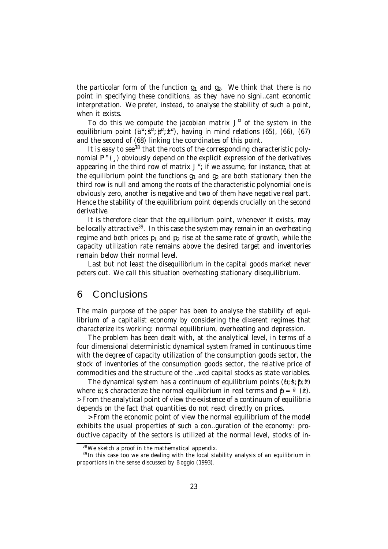the particolar form of the function  $q_1$  and  $q_2$ . We think that there is no point in specifying these conditions, as they have no signi…cant economic interpretation. We prefer, instead, to analyse the stability of such a point, when it exists.

To do this we compute the jacobian matrix J ¤ of the system in the equilibrium point  $(\mathtt{U}^{\mathtt{u}};\mathtt{S}^{\mathtt{u}};\mathtt{D}^{\mathtt{u}};\mathtt{Z}^{\mathtt{u}})$ , having in mind relations (65), (66), (67) and the second of (68) linking the coordinates of this point.

It is easy to see<sup>38</sup> that the roots of the corresponding characteristic polynomial P ¤ (¸) obviously depend on the explicit expression of the derivatives appearing in the third row of matrix J<sup>¤</sup>; if we assume, for instance, that at the equilibrium point the functions  $q_1$  and  $q_2$  are both stationary then the third row is null and among the roots of the characteristic polynomial one is obviously zero, another is negative and two of them have negative real part. Hence the stability of the equilibrium point depends crucially on the second derivative.

It is therefore clear that the equilibrium point, whenever it exists, may be locally attractive<sup>39</sup>. In this case the system may remain in an overheating regime and both prices  $p_1$  and  $p_2$  rise at the same rate of growth, while the capacity utilization rate remains above the desired target and inventories remain below their normal level.

Last but not least the disequilibrium in the capital goods market never peters out. We call this situation overheating stationary disequilibrium.

# 6 Conclusions

The main purpose of the paper has been to analyse the stability of equilibrium of a capitalist economy by considering the di¤erent regimes that characterize its working: normal equilibrium, overheating and depression.

The problem has been dealt with, at the analytical level, in terms of a four dimensional deterministic dynamical system framed in continuous time with the degree of capacity utilization of the consumption goods sector, the stock of inventories of the consumption goods sector, the relative price of commodities and the structure of the …xed capital stocks as state variables.

The dynamical system has a continuum of equilibrium points  $(\mathbf{u}:\mathbf{s}; \mathbf{v}; \mathbf{z})$ where  $\hat{u}$ ; s characterize the normal equilibrium in real terms and  $\hat{p} = \alpha$  (2). >From the analytical point of view the existence of a continuum of equilibria depends on the fact that quantities do not react directly on prices.

>From the economic point of view the normal equilibrium of the model exhibits the usual properties of such a con…guration of the economy: productive capacity of the sectors is utilized at the normal level, stocks of in-

<sup>38</sup> We sketch a proof in the mathematical appendix.

<sup>&</sup>lt;sup>39</sup> In this case too we are dealing with the local stability analysis of an equilibrium in proportions in the sense discussed by Boggio (1993).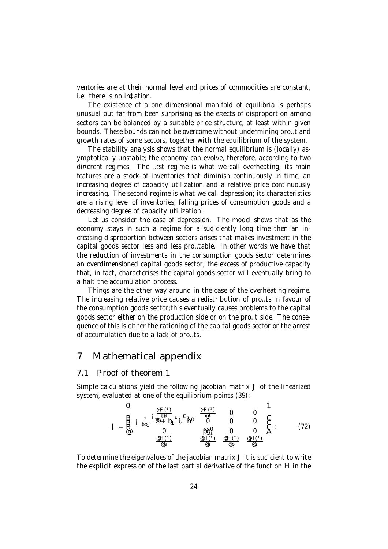ventories are at their normal level and prices of commodities are constant, i.e. there is no in‡ation.

The existence of a one dimensional manifold of equilibria is perhaps unusual but far from been surprising as the e¤ects of disproportion among sectors can be balanced by a suitable price structure, at least within given bounds. These bounds can not be overcome without undermining pro…t and growth rates of some sectors, together with the equilibrium of the system.

The stability analysis shows that the normal equilibrium is (locally) asymptotically unstable; the economy can evolve, therefore, according to two di¤erent regimes. The …rst regime is what we call overheating; its main features are a stock of inventories that diminish continuously in time, an increasing degree of capacity utilization and a relative price continuously increasing. The second regime is what we call depression; its characteristics are a rising level of inventories, falling prices of consumption goods and a decreasing degree of capacity utilization.

Let us consider the case of depression. The model shows that as the economy stays in such a regime for a su¢ciently long time then an increasing disproportion between sectors arises that makes investment in the capital goods sector less and less pro…table. In other words we have that the reduction of investments in the consumption goods sector determines an overdimensioned capital goods sector; the excess of productive capacity that, in fact, characterises the capital goods sector will eventually bring to a halt the accumulation process.

Things are the other way around in the case of the overheating regime. The increasing relative price causes a redistribution of pro…ts in favour of the consumption goods sector;this eventually causes problems to the capital goods sector either on the production side or on the pro…t side. The consequence of this is either the rationing of the capital goods sector or the arrest of accumulation due to a lack of pro…ts.

# 7 Mathematical appendix

### 7.1 Proof of theorem 1

Simple calculations yield the following jacobian matrix J of the linearized system, evaluated at one of the equilibrium points (39):

$$
J = \underbrace{B}_{\text{out}} \, i \, \frac{1}{\beta b_1} \, i \underbrace{\frac{\varphi_F(\tau)}{\varphi u}}_{0} + b_1 \, i \underbrace{\psi}_{1} \, \frac{\varphi_F(\tau)}{0} \, \underbrace{0}_{0} \, \underbrace{0}_{0} \, \underbrace{0}_{0} \, \underbrace{0}_{0} \, \underbrace{0}_{0} \, \underbrace{0}_{0} \, \underbrace{0}_{0} \, \underbrace{0}_{0} \, \underbrace{0}_{0} \, \underbrace{0}_{0} \, \underbrace{0}_{0} \, \underbrace{0}_{0} \, \underbrace{0}_{0} \, \underbrace{0}_{0} \, \underbrace{0}_{0} \, \underbrace{0}_{0} \, \underbrace{0}_{0} \, \underbrace{0}_{0} \, \underbrace{0}_{0} \, \underbrace{0}_{0} \, \underbrace{0}_{0} \, \underbrace{0}_{0} \, \underbrace{0}_{0} \, \underbrace{0}_{0} \, \underbrace{0}_{0} \, \underbrace{0}_{0} \, \underbrace{0}_{0} \, \underbrace{0}_{0} \, \underbrace{0}_{0} \, \underbrace{0}_{0} \, \underbrace{0}_{0} \, \underbrace{0}_{0} \, \underbrace{0}_{0} \, \underbrace{0}_{0} \, \underbrace{0}_{0} \, \underbrace{0}_{0} \, \underbrace{0}_{0} \, \underbrace{0}_{0} \, \underbrace{0}_{0} \, \underbrace{0}_{0} \, \underbrace{0}_{0} \, \underbrace{0}_{0} \, \underbrace{0}_{0} \, \underbrace{0}_{0} \, \underbrace{0}_{0} \, \underbrace{0}_{0} \, \underbrace{0}_{0} \, \underbrace{0}_{0} \, \underbrace{0}_{0} \, \underbrace{0}_{0} \, \underbrace{0}_{0} \, \underbrace{0}_{0} \, \underbrace{0}_{0} \, \underbrace{0}_{0} \, \underbrace{0}_{0} \, \underbrace{0}_{0} \, \underbrace{0}_{0} \, \underbrace{0}_{0} \, \underbrace{0}_{0} \, \underbrace{0}_{0} \, \underbrace{0}_{0} \, \underbrace{0}_{0} \, \underbrace{0}_{0} \, \underbrace{0}_{0} \, \underbrace{0}_{0} \, \underbrace{0}_{0} \, \underbrace{0}_{0} \, \underbrace{0}_{
$$

To determine the eigenvalues of the jacobian matrix J it is su¢cient to write the explicit expression of the last partial derivative of the function H in the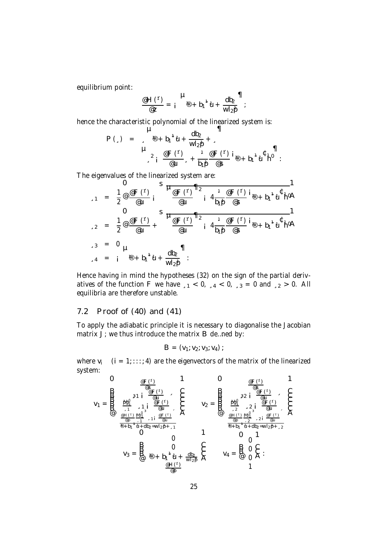equilibrium point:

$$
\frac{\omega H (1)}{\omega z} = i \frac{H}{1} (1 + b_1)^2 u + \frac{db_2}{w_1 b_2} d
$$

 $\rightarrow$ 

hence the characteristic polynomial of the linearized system is:

$$
P(\square) = \sum_{s=0}^{H} \Phi + b_1^{-1} \Psi + \frac{db_2}{w_1} + \frac{1}{w_2} \Psi + \frac{1}{w_1} \Psi + \frac{1}{w_2} \Psi + \frac{1}{w_1} \Psi + \frac{1}{w_2} \Psi + \frac{1}{w_1} \Psi + \frac{1}{w_2} \Psi + \frac{1}{w_2} \Psi + \frac{1}{w_1} \Psi + \frac{1}{w_2} \Psi + \frac{1}{w_2} \Psi + \frac{1}{w_2} \Psi + \frac{1}{w_2} \Psi + \frac{1}{w_2} \Psi + \frac{1}{w_2} \Psi + \frac{1}{w_2} \Psi + \frac{1}{w_2} \Psi + \frac{1}{w_2} \Psi + \frac{1}{w_2} \Psi + \frac{1}{w_2} \Psi + \frac{1}{w_2} \Psi + \frac{1}{w_2} \Psi + \frac{1}{w_2} \Psi + \frac{1}{w_2} \Psi + \frac{1}{w_2} \Psi + \frac{1}{w_2} \Psi + \frac{1}{w_2} \Psi + \frac{1}{w_2} \Psi + \frac{1}{w_2} \Psi + \frac{1}{w_2} \Psi + \frac{1}{w_2} \Psi + \frac{1}{w_2} \Psi + \frac{1}{w_2} \Psi + \frac{1}{w_2} \Psi + \frac{1}{w_2} \Psi + \frac{1}{w_2} \Psi + \frac{1}{w_2} \Psi + \frac{1}{w_2} \Psi + \frac{1}{w_2} \Psi + \frac{1}{w_2} \Psi + \frac{1}{w_2} \Psi + \frac{1}{w_2} \Psi + \frac{1}{w_2} \Psi + \frac{1}{w_2} \Psi + \frac{1}{w_2} \Psi + \frac{1}{w_2} \Psi + \frac{1}{w_2} \Psi + \frac{1}{w_2} \Psi + \frac{1}{w_2} \Psi + \frac{1}{w_2} \Psi + \frac{1}{w_2} \Psi + \frac{1}{w_2} \Psi + \frac{1}{w_2} \Psi + \frac{1}{w_2} \Psi + \frac{1}{w_2} \Psi + \frac{1}{w_2} \Psi + \frac{1}{w_2} \Psi + \frac{1}{w_2} \Psi + \frac{1}{w_2} \Psi + \frac{1}{w_2} \Psi +
$$

The eigenvalues of the linearized system are:

$$
\begin{array}{lll}\n\mathbf{J} & = & \frac{1}{2} \mathcal{Q} \frac{\partial F(t)}{\partial u} \\
\mathbf{J} & = & \frac{1}{2} \mathcal{Q} \frac{\partial F(t)}{\partial u} \\
\mathbf{J} & = & \frac{1}{2} \mathcal{Q} \frac{\partial F(t)}{\partial u} + \mathbf{S} \frac{\partial F(t)}{\partial u} \\
\mathbf{J} & = & \frac{1}{2} \mathcal{Q} \frac{\partial F(t)}{\partial u} + \mathbf{S} \frac{\partial F(t)}{\partial u} \\
\mathbf{J} & = & \frac{1}{2} \mathcal{Q} \frac{\partial F(t)}{\partial u} + \mathbf{S} \frac{\partial F(t)}{\partial u} \\
\mathbf{J} & = & \frac{1}{2} \mathcal{Q} \frac{\partial F(t)}{\partial u} + \mathbf{S} \frac{\partial F(t)}{\partial u} \\
\mathbf{J} & = & \frac{1}{2} \mathcal{Q} \frac{\partial F(t)}{\partial u} + \mathbf{S} \frac{\partial F(t)}{\partial u} \\
\mathbf{J} & = & \frac{1}{2} \mathcal{Q} \frac{\partial F(t)}{\partial u} + \mathbf{S} \frac{\partial F(t)}{\partial u} \\
\mathbf{J} & = & \frac{1}{2} \mathcal{Q} \frac{\partial F(t)}{\partial u} + \mathbf{S} \frac{\partial F(t)}{\partial u} \\
\mathbf{J} & = & \frac{1}{2} \mathcal{Q} \frac{\partial F(t)}{\partial u} + \mathbf{S} \frac{\partial F(t)}{\partial u} \\
\mathbf{J} & = & \frac{1}{2} \mathcal{Q} \frac{\partial F(t)}{\partial u} + \mathbf{S} \frac{\partial F(t)}{\partial u} \\
\mathbf{J} & = & \frac{1}{2} \mathcal{Q} \frac{\partial F(t)}{\partial u} + \mathbf{S} \frac{\partial F(t)}{\partial u} \\
\mathbf{J} & = & \frac{1}{2} \mathcal{Q} \frac{\partial F(t)}{\partial u} + \mathbf{S} \frac{\partial F(t)}{\partial u} \\
\mathbf{J} & = & \frac{1}{2} \mathcal{Q} \frac{\partial F(t)}{\partial u} + \mathbf{S} \frac{\partial F(t)}{\partial u} \\
\mathbf
$$

Hence having in mind the hypotheses (32) on the sign of the partial derivatives of the function F we have  $_{51}$  < 0,  $_{54}$  < 0,  $_{53}$  = 0 and  $_{52}$  > 0. All equilibria are therefore unstable.

### 7.2 Proof of (40) and (41)

To apply the adiabatic principle it is necessary to diagonalise the Jacobian matrix J; we thus introduce the matrix B de... ned by:

$$
B = (v_1; v_2; v_3; v_4);
$$

where  $v_i$  (i = 1; :: : ; 4) are the eigenvectors of the matrix of the linearized system:

$$
v_1=\overset{\text{def (1)}}{\underset{\text{def (1)}}{\bigoplus}}\underset{\text{def (1)}}{\underset{\text{def (1)}}{\bigoplus}}\underset{\text{def (1)}}{\underset{\text{def (1)}}{\bigoplus}}}\underset{\text{def (1)}}{\underset{\text{def (1)}}{\bigoplus}}\underset{\text{def (1)}}{\bigoplus}}\underset{\text{def (1)}}{\underbrace{\bigoplus}}\underset{\text{def (1)}}{\underbrace{\bigoplus}}\underset{\text{def (1)}}{\underbrace{\bigoplus}}\underset{\text{def (1)}}{\underbrace{\bigoplus}}\underset{\text{def (1)}}{\underbrace{\bigoplus}}\underset{\text{def (1)}}{\underbrace{\bigoplus}}\underset{\text{def (1)}}{\underbrace{\bigoplus}}\underset{\text{def (1)}}{\underbrace{\bigoplus}}\underset{\text{def (1)}}{\underbrace{\bigoplus}}\underset{\text{def (1)}}{\underbrace{\bigoplus}}\underset{\text{def (1)}}{\underbrace{\bigoplus}}\underset{\text{def (1)}}{\underbrace{\bigoplus}}\underset{\text{def (1)}}{\underbrace{\bigoplus}}\underset{\text{def (1)}}{\underbrace{\bigoplus}}\underset{\text{def (1)}}{\underbrace{\bigoplus}}\underset{\text{def (1)}}{\underbrace{\bigoplus}}\underset{\text{def (1)}}{\underbrace{\bigoplus}}\underset{\text{def (1)}}{\underbrace{\bigoplus}}\underset{\text{def (1)}}{\underbrace{\bigoplus}}\underset{\text{def (1)}}{\underbrace{\bigoplus}}\underset{\text{def (1)}}{\underbrace{\bigoplus}}\underset{\text{def (1)}}{\underbrace{\bigoplus}}\underset{\text{def (1)}}{\underbrace{\bigoplus}}\underset{\text{def (1)}}{\underbrace{\bigoplus}}\underset{\text{def (1)}}{\underbrace{\bigoplus}}\underset{\text{def (1)}}{\underbrace{\bigoplus}}\underset{\text{def (1)}}{\underbrace{\bigoplus}}\underset{\text{def (1)}}{\underbrace{\bigoplus}}\underset{\text{def (1)}}{\underbrace{\bigoplus}}\underset{\text{def (1)}}{\underbrace{\bigoplus}}\underset{\text{def (1)}}{\underbrace{\bigoplus}}\underset{\text{def (1)}}{\underbrace{\bigoplus}}\underset{\text{def (1)}}{\underbrace{\bigoplus}}\underset{\text{def (1)}}{\underbrace{\bigoplus}}\underset{\text{def (1)}}{\underbrace{\bigoplus}}\underset{\text{def (1)}}{\
$$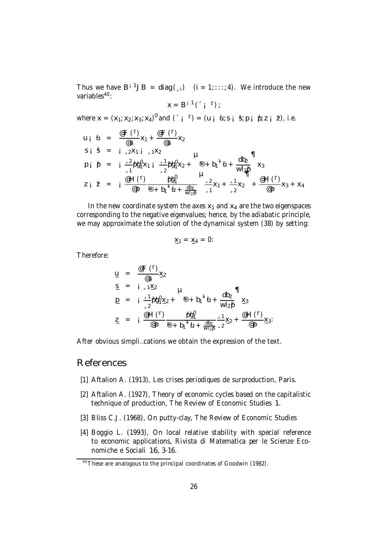Thus we have  $B^{i-1}JB = diag(\alpha_{i})$   $(i = 1; \dots; 4)$ . We introduce the new variables<sup>40</sup>:

$$
x = B^{i-1} \left( \begin{array}{cc} 1 & 1 \end{array} \right);
$$

where  $x = (x_1; x_2; x_3; x_4)^v$  and  $(\begin{array}{cc} 0 & 1 \end{array}) = (u_i \cdot u_i; s_i \cdot d; p_i \cdot p_i; z_i \cdot d)$ , i.e.

$$
u_{i} \ d = \frac{\mathcal{Q}F(T)}{\mathcal{Q}S}x_{1} + \frac{\mathcal{Q}F(T)}{\mathcal{Q}S}x_{2}
$$
\n
$$
S_{i} \ \, \dot{S} = i_{3}2X_{1}i_{3}1X_{2}
$$
\n
$$
p_{i} \ p_{i} \ p_{i} \ = i_{3}2\theta_{1}^{0}x_{1}i_{2}^{3}y_{2} + \Phi_{1}b_{1}^{1}u_{1} + \frac{db_{2}}{W_{2}^{0}}x_{3}
$$
\n
$$
Z_{i} \ \, \dot{Z} = i_{0} \frac{\mathcal{Q}H(T)}{\mathcal{Q}p} \frac{\theta_{1}^{0}y_{1}^{0}}{\mathcal{Q}p} + b_{1}^{1}u_{1} + \frac{db_{2}}{W_{2}^{0}}x_{2}^{3} + \frac{b_{1}^{2}y_{1}^{0}}{\mathcal{Q}p}x_{1} + \frac{b_{2}^{2}y_{1}^{0}}{\mathcal{Q}p}x_{2} + \frac{\mathcal{Q}H(T)}{\mathcal{Q}p}x_{3} + x_{4}
$$

In the new coordinate system the axes  $x_1$  and  $x_4$  are the two eigenspaces corresponding to the negative eigenvalues; hence, by the adiabatic principle, we may approximate the solution of the dynamical system (38) by setting:

$$
\underline{x}_1 = \underline{x}_4 = 0:
$$

Therefore:

$$
u = \frac{\mathcal{Q}F(T)}{\mathcal{Q}S} \times 2
$$
\n
$$
S = i_{3}1X_{2} \qquad \mu
$$
\n
$$
p = i_{3} \frac{1}{2} p \mathcal{G}_{1}^{0} \times 2 + \mathcal{Q} + b_{1}^{1} \mathcal{U} + \frac{db_{2}}{w l_{2} p} \times 3
$$
\n
$$
Z = i_{3} \frac{\mathcal{Q}H(T)}{\mathcal{Q}p} \frac{p \mathcal{G}_{1}^{0}}{\mathcal{Q} + b_{1}^{1} \mathcal{U} + \frac{db_{2}}{w l_{2} p}} \times 3 \times 2 + \mathcal{Q}H(T) \times 3
$$

After obvious simpli…cations we obtain the expression of the text.

# References

- [1] Aftalion A. (1913), Les crises periodiques de surproduction, Paris.
- [2] Aftalion A. (1927), Theory of economic cycles based on the capitalistic technique of production, The Review of Economic Studies 1.
- [3] Bliss C.J. (1968), On putty-clay, The Review of Economic Studies
- [4] Boggio L. (1993), On local relative stability with special reference to economic applications, Rivista di Matematica per le Scienze Economiche e Sociali 16, 3-16.

<sup>&</sup>lt;sup>40</sup>These are analogous to the principal coordinates of Goodwin (1982).